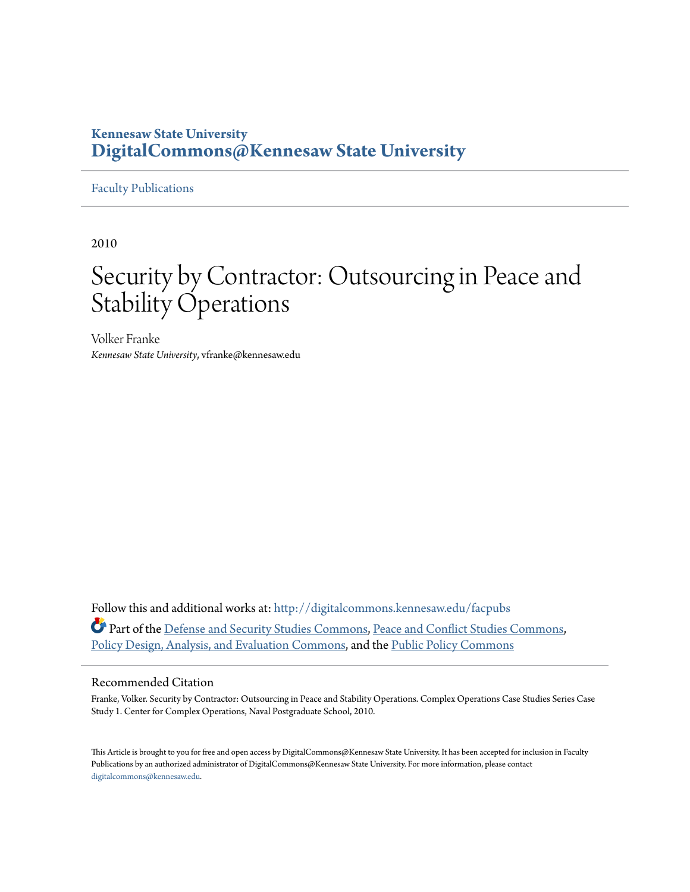## **Kennesaw State University [DigitalCommons@Kennesaw State University](http://digitalcommons.kennesaw.edu?utm_source=digitalcommons.kennesaw.edu%2Ffacpubs%2F1196&utm_medium=PDF&utm_campaign=PDFCoverPages)**

### [Faculty Publications](http://digitalcommons.kennesaw.edu/facpubs?utm_source=digitalcommons.kennesaw.edu%2Ffacpubs%2F1196&utm_medium=PDF&utm_campaign=PDFCoverPages)

2010

# Security by Contractor: Outsourcing in Peace and Stability Operations

Volker Franke *Kennesaw State University*, vfranke@kennesaw.edu

Follow this and additional works at: [http://digitalcommons.kennesaw.edu/facpubs](http://digitalcommons.kennesaw.edu/facpubs?utm_source=digitalcommons.kennesaw.edu%2Ffacpubs%2F1196&utm_medium=PDF&utm_campaign=PDFCoverPages) Part of the [Defense and Security Studies Commons](http://network.bepress.com/hgg/discipline/394?utm_source=digitalcommons.kennesaw.edu%2Ffacpubs%2F1196&utm_medium=PDF&utm_campaign=PDFCoverPages), [Peace and Conflict Studies Commons](http://network.bepress.com/hgg/discipline/397?utm_source=digitalcommons.kennesaw.edu%2Ffacpubs%2F1196&utm_medium=PDF&utm_campaign=PDFCoverPages), [Policy Design, Analysis, and Evaluation Commons,](http://network.bepress.com/hgg/discipline/1032?utm_source=digitalcommons.kennesaw.edu%2Ffacpubs%2F1196&utm_medium=PDF&utm_campaign=PDFCoverPages) and the [Public Policy Commons](http://network.bepress.com/hgg/discipline/400?utm_source=digitalcommons.kennesaw.edu%2Ffacpubs%2F1196&utm_medium=PDF&utm_campaign=PDFCoverPages)

#### Recommended Citation

Franke, Volker. Security by Contractor: Outsourcing in Peace and Stability Operations. Complex Operations Case Studies Series Case Study 1. Center for Complex Operations, Naval Postgraduate School, 2010.

This Article is brought to you for free and open access by DigitalCommons@Kennesaw State University. It has been accepted for inclusion in Faculty Publications by an authorized administrator of DigitalCommons@Kennesaw State University. For more information, please contact [digitalcommons@kennesaw.edu.](mailto:digitalcommons@kennesaw.edu)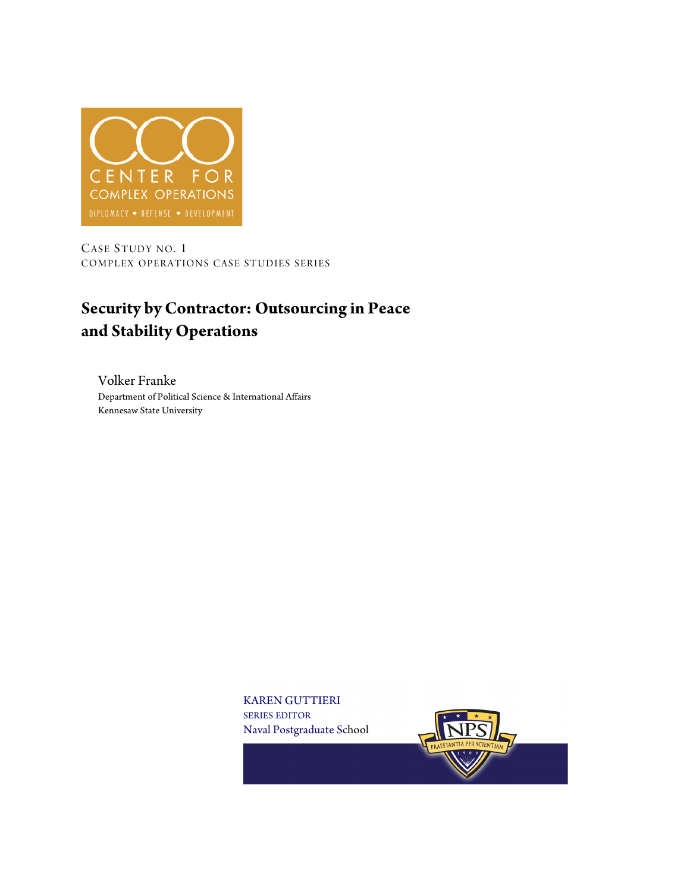

CASE STUDY NO. 1 COMPLEX OPERATIONS CASE STUDIES SERIES

## **Security by Contractor: Outsourcing in Peace and Stability Operations**

Volker Franke Department of Political Science & International Affairs Kennesaw State University

> KAREN GUTTIERI SERIES EDITOR Naval Postgraduate School

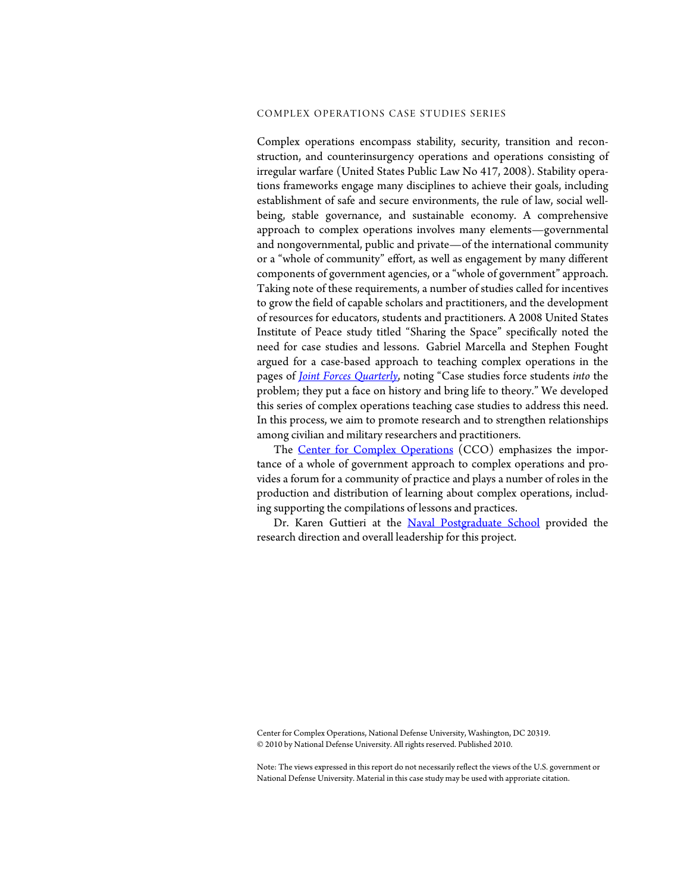#### COMPLEX OPERATIONS CASE STUDIES SERIES

Complex operations encompass stability, security, transition and reconstruction, and counterinsurgency operations and operations consisting of irregular warfare (United States Public Law No 417, 2008). Stability operations frameworks engage many disciplines to achieve their goals, including establishment of safe and secure environments, the rule of law, social wellbeing, stable governance, and sustainable economy. A comprehensive approach to complex operations involves many elements—governmental and nongovernmental, public and private—of the international community or a "whole of community" effort, as well as engagement by many different components of government agencies, or a "whole of government" approach. Taking note of these requirements, a number of studies called for incentives to grow the field of capable scholars and practitioners, and the development of resources for educators, students and practitioners. A 2008 United States Institute of Peace study titled "Sharing the Space" specifically noted the need for case studies and lessons. Gabriel Marcella and Stephen Fought argued for a case-based approach to teaching complex operations in the pages of *[Joint Forces Quarterly](http://www.ndu.edu/inss/Press/jfq_pages/editions/i52/12.pdf)*, noting "Case studies force students *into* the problem; they put a face on history and bring life to theory." We developed this series of complex operations teaching case studies to address this need. In this process, we aim to promote research and to strengthen relationships among civilian and military researchers and practitioners.

The [Center for Complex Operations](http://ccoportal.org/) (CCO) emphasizes the importance of a whole of government approach to complex operations and provides a forum for a community of practice and plays a number of roles in the production and distribution of learning about complex operations, including supporting the compilations of lessons and practices.

Dr. Karen Guttieri at the [Naval Postgraduate School](http://www.nps.edu) provided the research direction and overall leadership for this project.

Center for Complex Operations, National Defense University, Washington, DC 20319. © 2010 by National Defense University. All rights reserved. Published 2010.

Note: The views expressed in this report do not necessarily reflect the views of the U.S. government or National Defense University. Material in this case study may be used with approriate citation.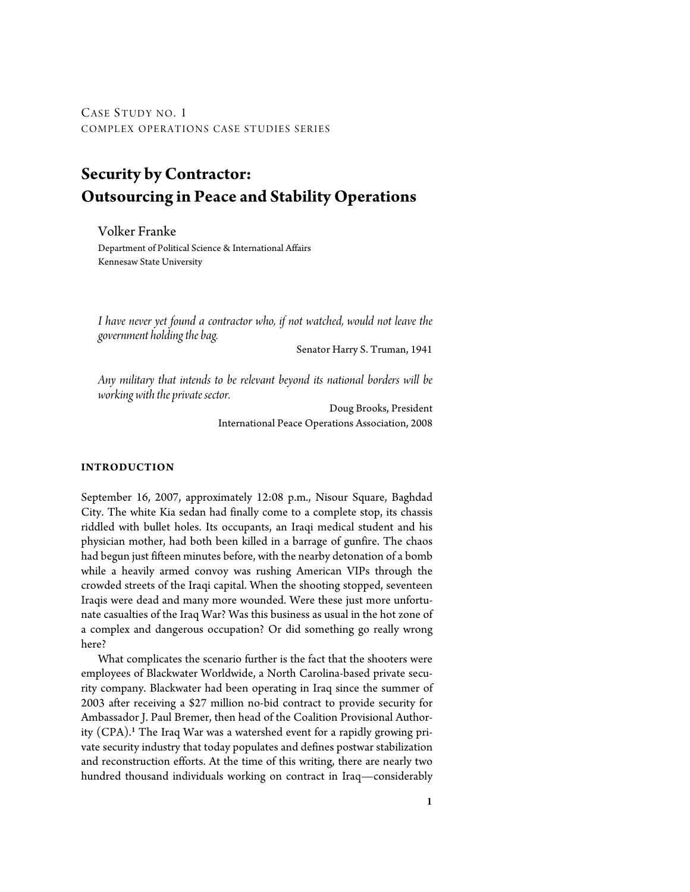CASE STUDY NO. 1 COMPLEX OPERATIONS CASE STUDIES SERIES

## **Security by Contractor: Outsourcing in Peace and Stability Operations**

Volker Franke Department of Political Science & International Affairs Kennesaw State University

*I have never yet found a contractor who, if not watched, would not leave the government holding the bag.*

Senator Harry S. Truman, 1941

*Any military that intends to be relevant beyond its national borders will be working with the private sector.*

> Doug Brooks, President International Peace Operations Association, 2008

#### **INTRODUCTION**

September 16, 2007, approximately 12:08 p.m., Nisour Square, Baghdad City. The white Kia sedan had finally come to a complete stop, its chassis riddled with bullet holes. Its occupants, an Iraqi medical student and his physician mother, had both been killed in a barrage of gunfire. The chaos had begun just fifteen minutes before, with the nearby detonation of a bomb while a heavily armed convoy was rushing American VIPs through the crowded streets of the Iraqi capital. When the shooting stopped, seventeen Iraqis were dead and many more wounded. Were these just more unfortunate casualties of the Iraq War? Was this business as usual in the hot zone of a complex and dangerous occupation? Or did something go really wrong here?

What complicates the scenario further is the fact that the shooters were employees of Blackwater Worldwide, a North Carolina-based private security company. Blackwater had been operating in Iraq since the summer of 2003 after receiving a \$27 million no-bid contract to provide security for Ambassador J. Paul Bremer, then head of the Coalition Provisional Authority (CPA).<sup>1</sup> The Iraq War was a watershed event for a rapidly growing private security industry that today populates and defines postwar stabilization and reconstruction efforts. At the time of this writing, there are nearly two hundred thousand individuals working on contract in Iraq—considerably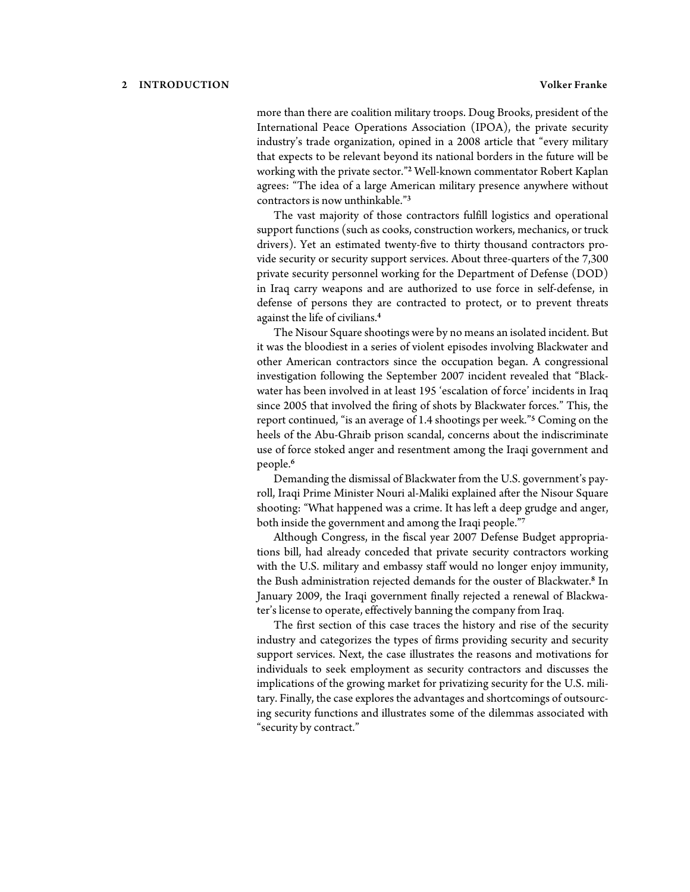more than there are coalition military troops. Doug Brooks, president of the International Peace Operations Association (IPOA), the private security industry's trade organization, opined in a 2008 article that "every military that expects to be relevant beyond its national borders in the future will be working with the private sector."<sup>2</sup> Well-known commentator Robert Kaplan agrees: "The idea of a large American military presence anywhere without contractors is now unthinkable."<sup>3</sup>

The vast majority of those contractors fulfill logistics and operational support functions (such as cooks, construction workers, mechanics, or truck drivers). Yet an estimated twenty-five to thirty thousand contractors provide security or security support services. About three-quarters of the 7,300 private security personnel working for the Department of Defense (DOD) in Iraq carry weapons and are authorized to use force in self-defense, in defense of persons they are contracted to protect, or to prevent threats against the life of civilians.<sup>4</sup>

The Nisour Square shootings were by no means an isolated incident. But it was the bloodiest in a series of violent episodes involving Blackwater and other American contractors since the occupation began. A congressional investigation following the September 2007 incident revealed that "Blackwater has been involved in at least 195 'escalation of force' incidents in Iraq since 2005 that involved the firing of shots by Blackwater forces." This, the report continued, "is an average of 1.4 shootings per week."<sup>5</sup> Coming on the heels of the Abu-Ghraib prison scandal, concerns about the indiscriminate use of force stoked anger and resentment among the Iraqi government and people.<sup>6</sup>

Demanding the dismissal of Blackwater from the U.S. government's payroll, Iraqi Prime Minister Nouri al-Maliki explained after the Nisour Square shooting: "What happened was a crime. It has left a deep grudge and anger, both inside the government and among the Iraqi people."<sup>7</sup>

Although Congress, in the fiscal year 2007 Defense Budget appropriations bill, had already conceded that private security contractors working with the U.S. military and embassy staff would no longer enjoy immunity, the Bush administration rejected demands for the ouster of Blackwater.<sup>8</sup> In January 2009, the Iraqi government finally rejected a renewal of Blackwater's license to operate, effectively banning the company from Iraq.

The first section of this case traces the history and rise of the security industry and categorizes the types of firms providing security and security support services. Next, the case illustrates the reasons and motivations for individuals to seek employment as security contractors and discusses the implications of the growing market for privatizing security for the U.S. military. Finally, the case explores the advantages and shortcomings of outsourcing security functions and illustrates some of the dilemmas associated with "security by contract."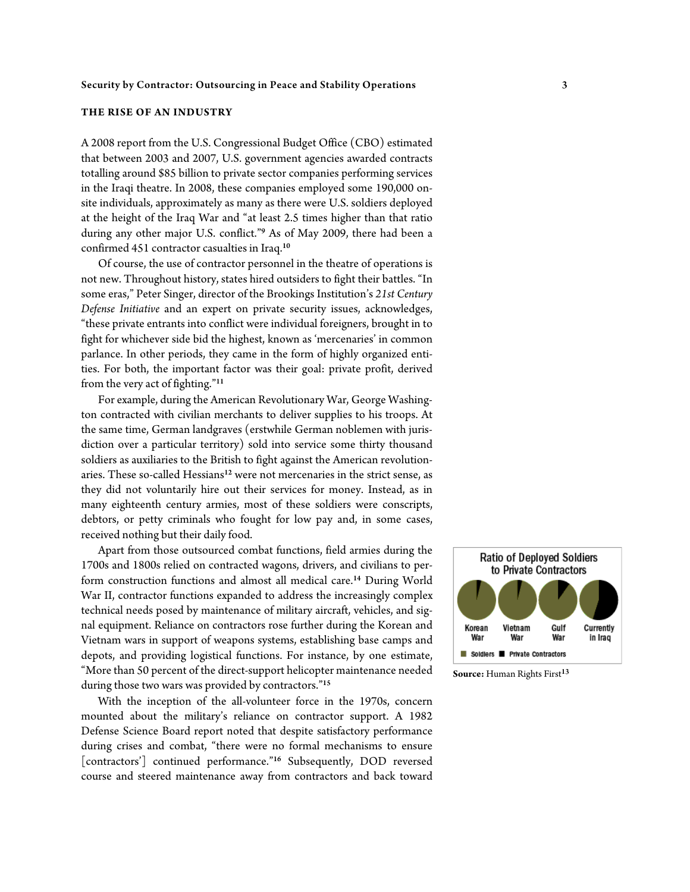#### **THE RISE OF AN INDUSTRY**

A 2008 report from the U.S. Congressional Budget Office (CBO) estimated that between 2003 and 2007, U.S. government agencies awarded contracts totalling around \$85 billion to private sector companies performing services in the Iraqi theatre. In 2008, these companies employed some 190,000 onsite individuals, approximately as many as there were U.S. soldiers deployed at the height of the Iraq War and "at least 2.5 times higher than that ratio during any other major U.S. conflict."<sup>9</sup> As of May 2009, there had been a confirmed 451 contractor casualties in Iraq.<sup>10</sup>

Of course, the use of contractor personnel in the theatre of operations is not new. Throughout history, states hired outsiders to fight their battles. "In some eras," Peter Singer, director of the Brookings Institution's *21st Century Defense Initiative* and an expert on private security issues, acknowledges, "these private entrants into conflict were individual foreigners, brought in to fight for whichever side bid the highest, known as 'mercenaries' in common parlance. In other periods, they came in the form of highly organized entities. For both, the important factor was their goal: private profit, derived from the very act of fighting."<sup>11</sup>

For example, during the American Revolutionary War, George Washington contracted with civilian merchants to deliver supplies to his troops. At the same time, German landgraves (erstwhile German noblemen with jurisdiction over a particular territory) sold into service some thirty thousand soldiers as auxiliaries to the British to fight against the American revolutionaries. These so-called Hessians<sup>12</sup> were not mercenaries in the strict sense, as they did not voluntarily hire out their services for money. Instead, as in many eighteenth century armies, most of these soldiers were conscripts, debtors, or petty criminals who fought for low pay and, in some cases, received nothing but their daily food.

Apart from those outsourced combat functions, field armies during the 1700s and 1800s relied on contracted wagons, drivers, and civilians to perform construction functions and almost all medical care.<sup>14</sup> During World War II, contractor functions expanded to address the increasingly complex technical needs posed by maintenance of military aircraft, vehicles, and signal equipment. Reliance on contractors rose further during the Korean and Vietnam wars in support of weapons systems, establishing base camps and depots, and providing logistical functions. For instance, by one estimate, "More than 50 percent of the direct-support helicopter maintenance needed during those two wars was provided by contractors."<sup>15</sup>

With the inception of the all-volunteer force in the 1970s, concern mounted about the military's reliance on contractor support. A 1982 Defense Science Board report noted that despite satisfactory performance during crises and combat, "there were no formal mechanisms to ensure [contractors'] continued performance."<sup>16</sup> Subsequently, DOD reversed course and steered maintenance away from contractors and back toward



**Source:** Human Rights First<sup>13</sup>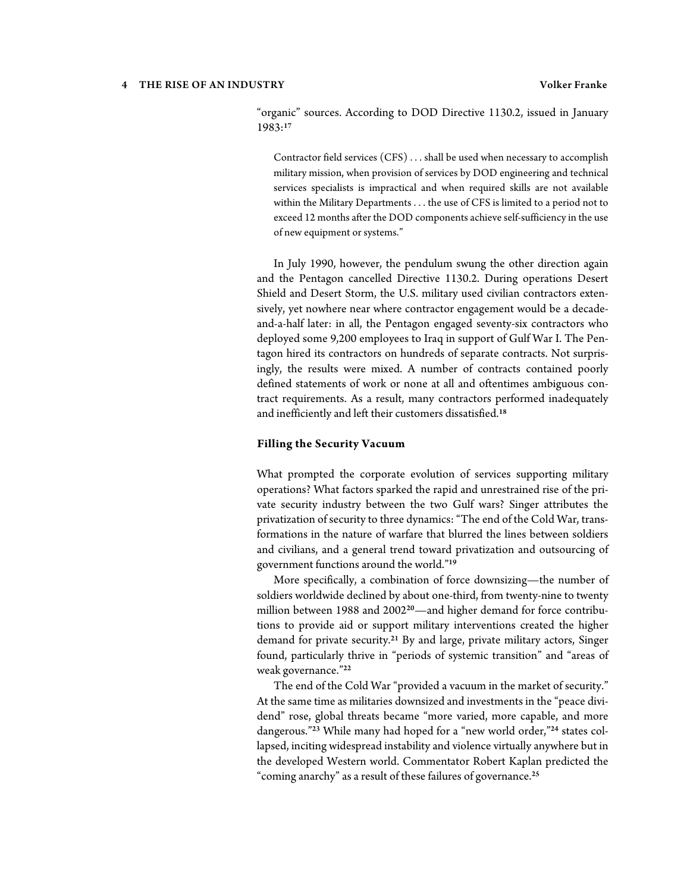#### 4 THE RISE OF AN INDUSTRY Volker Franke

"organic" sources. According to DOD Directive 1130.2, issued in January 1983:<sup>17</sup>

Contractor field services (CFS) . . . shall be used when necessary to accomplish military mission, when provision of services by DOD engineering and technical services specialists is impractical and when required skills are not available within the Military Departments . . . the use of CFS is limited to a period not to exceed 12 months after the DOD components achieve self-sufficiency in the use of new equipment or systems."

In July 1990, however, the pendulum swung the other direction again and the Pentagon cancelled Directive 1130.2. During operations Desert Shield and Desert Storm, the U.S. military used civilian contractors extensively, yet nowhere near where contractor engagement would be a decadeand-a-half later: in all, the Pentagon engaged seventy-six contractors who deployed some 9,200 employees to Iraq in support of Gulf War I. The Pentagon hired its contractors on hundreds of separate contracts. Not surprisingly, the results were mixed. A number of contracts contained poorly defined statements of work or none at all and oftentimes ambiguous contract requirements. As a result, many contractors performed inadequately and inefficiently and left their customers dissatisfied.<sup>18</sup>

#### **Filling the Security Vacuum**

What prompted the corporate evolution of services supporting military operations? What factors sparked the rapid and unrestrained rise of the private security industry between the two Gulf wars? Singer attributes the privatization of security to three dynamics: "The end of the Cold War, transformations in the nature of warfare that blurred the lines between soldiers and civilians, and a general trend toward privatization and outsourcing of government functions around the world."<sup>19</sup>

More specifically, a combination of force downsizing—the number of soldiers worldwide declined by about one-third, from twenty-nine to twenty million between 1988 and 2002<sup>20</sup>—and higher demand for force contributions to provide aid or support military interventions created the higher demand for private security.<sup>21</sup> By and large, private military actors, Singer found, particularly thrive in "periods of systemic transition" and "areas of weak governance."<sup>22</sup>

The end of the Cold War "provided a vacuum in the market of security." At the same time as militaries downsized and investments in the "peace dividend" rose, global threats became "more varied, more capable, and more dangerous."23 While many had hoped for a "new world order,"24 states collapsed, inciting widespread instability and violence virtually anywhere but in the developed Western world. Commentator Robert Kaplan predicted the "coming anarchy" as a result of these failures of governance.25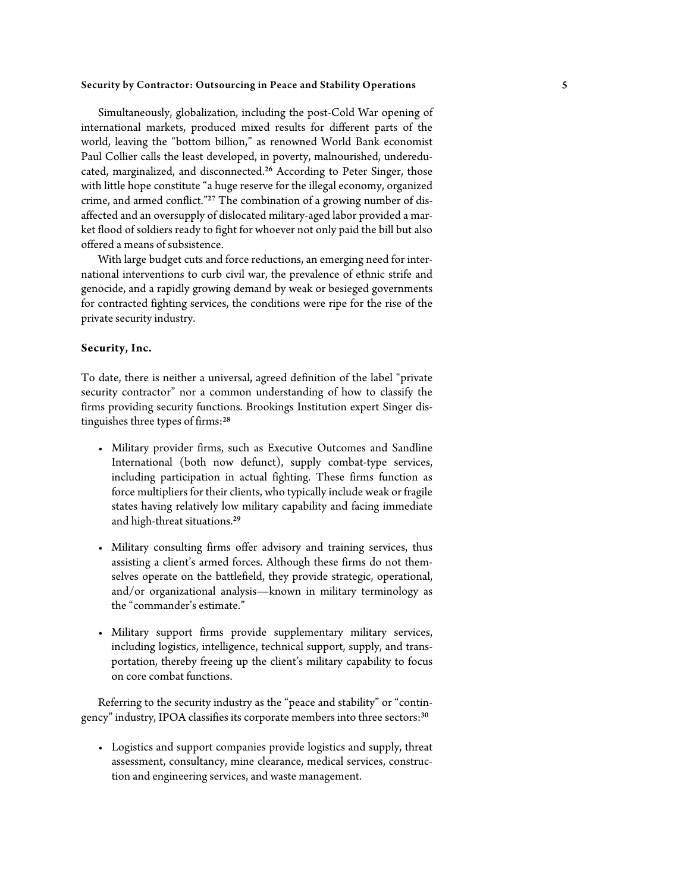Simultaneously, globalization, including the post-Cold War opening of international markets, produced mixed results for different parts of the world, leaving the "bottom billion," as renowned World Bank economist Paul Collier calls the least developed, in poverty, malnourished, undereducated, marginalized, and disconnected.<sup>26</sup> According to Peter Singer, those with little hope constitute "a huge reserve for the illegal economy, organized crime, and armed conflict."27 The combination of a growing number of disaffected and an oversupply of dislocated military-aged labor provided a market flood of soldiers ready to fight for whoever not only paid the bill but also offered a means of subsistence.

With large budget cuts and force reductions, an emerging need for international interventions to curb civil war, the prevalence of ethnic strife and genocide, and a rapidly growing demand by weak or besieged governments for contracted fighting services, the conditions were ripe for the rise of the private security industry.

#### **Security, Inc.**

To date, there is neither a universal, agreed definition of the label "private security contractor" nor a common understanding of how to classify the firms providing security functions. Brookings Institution expert Singer distinguishes three types of firms:<sup>28</sup>

- Military provider firms, such as Executive Outcomes and Sandline International (both now defunct), supply combat-type services, including participation in actual fighting. These firms function as force multipliers for their clients, who typically include weak or fragile states having relatively low military capability and facing immediate and high-threat situations.<sup>29</sup>
- Military consulting firms offer advisory and training services, thus assisting a client's armed forces. Although these firms do not themselves operate on the battlefield, they provide strategic, operational, and/or organizational analysis—known in military terminology as the "commander's estimate."
- Military support firms provide supplementary military services, including logistics, intelligence, technical support, supply, and transportation, thereby freeing up the client's military capability to focus on core combat functions.

Referring to the security industry as the "peace and stability" or "contingency" industry, IPOA classifies its corporate members into three sectors:<sup>30</sup>

• Logistics and support companies provide logistics and supply, threat assessment, consultancy, mine clearance, medical services, construction and engineering services, and waste management.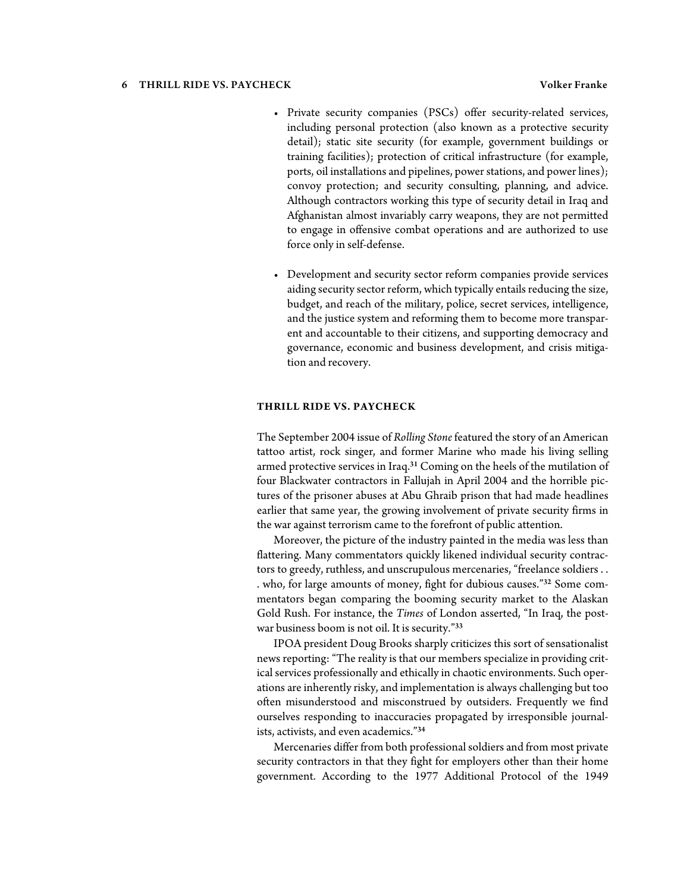#### 6 THRILL RIDE VS. PAYCHECK Volker Franke

- Private security companies (PSCs) offer security-related services, including personal protection (also known as a protective security detail); static site security (for example, government buildings or training facilities); protection of critical infrastructure (for example, ports, oil installations and pipelines, power stations, and power lines); convoy protection; and security consulting, planning, and advice. Although contractors working this type of security detail in Iraq and Afghanistan almost invariably carry weapons, they are not permitted to engage in offensive combat operations and are authorized to use force only in self-defense.
- Development and security sector reform companies provide services aiding security sector reform, which typically entails reducing the size, budget, and reach of the military, police, secret services, intelligence, and the justice system and reforming them to become more transparent and accountable to their citizens, and supporting democracy and governance, economic and business development, and crisis mitigation and recovery.

#### **THRILL RIDE VS. PAYCHECK**

The September 2004 issue of *Rolling Stone* featured the story of an American tattoo artist, rock singer, and former Marine who made his living selling armed protective services in Iraq.<sup>31</sup> Coming on the heels of the mutilation of four Blackwater contractors in Fallujah in April 2004 and the horrible pictures of the prisoner abuses at Abu Ghraib prison that had made headlines earlier that same year, the growing involvement of private security firms in the war against terrorism came to the forefront of public attention.

Moreover, the picture of the industry painted in the media was less than flattering. Many commentators quickly likened individual security contractors to greedy, ruthless, and unscrupulous mercenaries, "freelance soldiers . . . who, for large amounts of money, fight for dubious causes."32 Some commentators began comparing the booming security market to the Alaskan Gold Rush. For instance, the *Times* of London asserted, "In Iraq, the postwar business boom is not oil. It is security."<sup>33</sup>

IPOA president Doug Brooks sharply criticizes this sort of sensationalist news reporting: "The reality is that our members specialize in providing critical services professionally and ethically in chaotic environments. Such operations are inherently risky, and implementation is always challenging but too often misunderstood and misconstrued by outsiders. Frequently we find ourselves responding to inaccuracies propagated by irresponsible journalists, activists, and even academics."<sup>34</sup>

Mercenaries differ from both professional soldiers and from most private security contractors in that they fight for employers other than their home government. According to the 1977 Additional Protocol of the 1949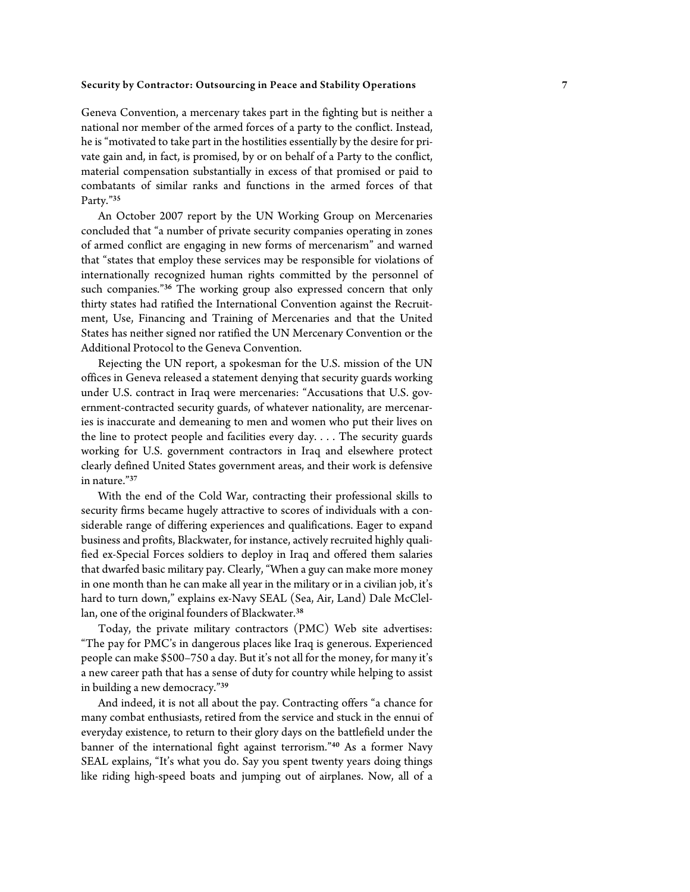Geneva Convention, a mercenary takes part in the fighting but is neither a national nor member of the armed forces of a party to the conflict. Instead, he is "motivated to take part in the hostilities essentially by the desire for private gain and, in fact, is promised, by or on behalf of a Party to the conflict, material compensation substantially in excess of that promised or paid to combatants of similar ranks and functions in the armed forces of that Party."<sup>35</sup>

An October 2007 report by the UN Working Group on Mercenaries concluded that "a number of private security companies operating in zones of armed conflict are engaging in new forms of mercenarism" and warned that "states that employ these services may be responsible for violations of internationally recognized human rights committed by the personnel of such companies."<sup>36</sup> The working group also expressed concern that only thirty states had ratified the International Convention against the Recruitment, Use, Financing and Training of Mercenaries and that the United States has neither signed nor ratified the UN Mercenary Convention or the Additional Protocol to the Geneva Convention.

Rejecting the UN report, a spokesman for the U.S. mission of the UN offices in Geneva released a statement denying that security guards working under U.S. contract in Iraq were mercenaries: "Accusations that U.S. government-contracted security guards, of whatever nationality, are mercenaries is inaccurate and demeaning to men and women who put their lives on the line to protect people and facilities every day. . . . The security guards working for U.S. government contractors in Iraq and elsewhere protect clearly defined United States government areas, and their work is defensive in nature."<sup>37</sup>

With the end of the Cold War, contracting their professional skills to security firms became hugely attractive to scores of individuals with a considerable range of differing experiences and qualifications. Eager to expand business and profits, Blackwater, for instance, actively recruited highly qualified ex-Special Forces soldiers to deploy in Iraq and offered them salaries that dwarfed basic military pay. Clearly, "When a guy can make more money in one month than he can make all year in the military or in a civilian job, it's hard to turn down," explains ex-Navy SEAL (Sea, Air, Land) Dale McClellan, one of the original founders of Blackwater.<sup>38</sup>

Today, the private military contractors (PMC) Web site advertises: "The pay for PMC's in dangerous places like Iraq is generous. Experienced people can make \$500–750 a day. But it's not all for the money, for many it's a new career path that has a sense of duty for country while helping to assist in building a new democracy."<sup>39</sup>

And indeed, it is not all about the pay. Contracting offers "a chance for many combat enthusiasts, retired from the service and stuck in the ennui of everyday existence, to return to their glory days on the battlefield under the banner of the international fight against terrorism."<sup>40</sup> As a former Navy SEAL explains, "It's what you do. Say you spent twenty years doing things like riding high-speed boats and jumping out of airplanes. Now, all of a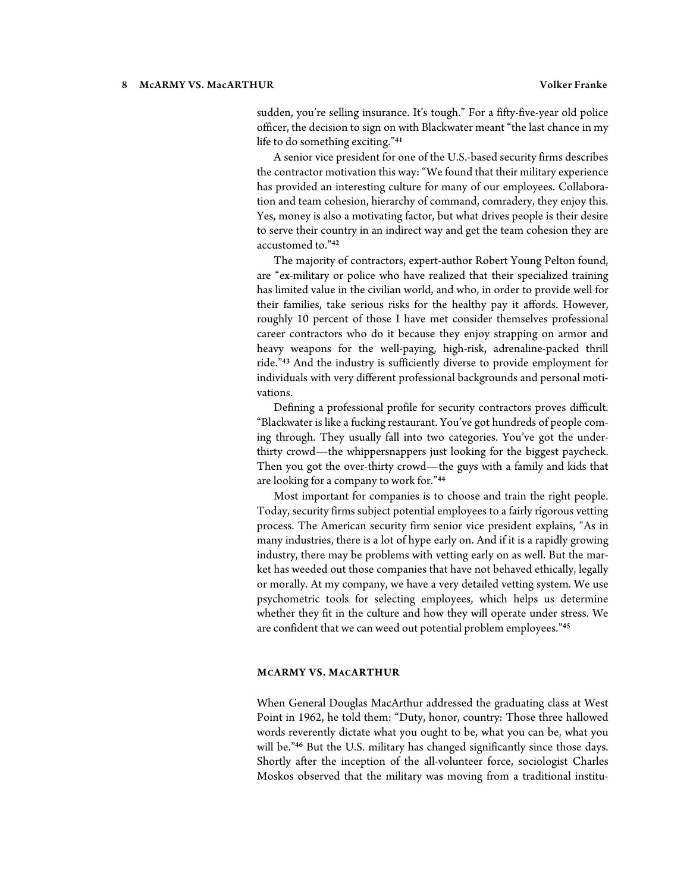#### 8 McARMY VS. MacARTHUR Volker Franke

sudden, you're selling insurance. It's tough." For a fifty-five-year old police officer, the decision to sign on with Blackwater meant "the last chance in my life to do something exciting."<sup>41</sup>

A senior vice president for one of the U.S.-based security firms describes the contractor motivation this way: "We found that their military experience has provided an interesting culture for many of our employees. Collaboration and team cohesion, hierarchy of command, comradery, they enjoy this. Yes, money is also a motivating factor, but what drives people is their desire to serve their country in an indirect way and get the team cohesion they are accustomed to."<sup>42</sup>

The majority of contractors, expert-author Robert Young Pelton found, are "ex-military or police who have realized that their specialized training has limited value in the civilian world, and who, in order to provide well for their families, take serious risks for the healthy pay it affords. However, roughly 10 percent of those I have met consider themselves professional career contractors who do it because they enjoy strapping on armor and heavy weapons for the well-paying, high-risk, adrenaline-packed thrill ride."<sup>43</sup> And the industry is sufficiently diverse to provide employment for individuals with very different professional backgrounds and personal motivations.

Defining a professional profile for security contractors proves difficult. "Blackwater is like a fucking restaurant. You've got hundreds of people coming through. They usually fall into two categories. You've got the underthirty crowd—the whippersnappers just looking for the biggest paycheck. Then you got the over-thirty crowd—the guys with a family and kids that are looking for a company to work for."<sup>44</sup>

Most important for companies is to choose and train the right people. Today, security firms subject potential employees to a fairly rigorous vetting process. The American security firm senior vice president explains, "As in many industries, there is a lot of hype early on. And if it is a rapidly growing industry, there may be problems with vetting early on as well. But the market has weeded out those companies that have not behaved ethically, legally or morally. At my company, we have a very detailed vetting system. We use psychometric tools for selecting employees, which helps us determine whether they fit in the culture and how they will operate under stress. We are confident that we can weed out potential problem employees."<sup>45</sup>

#### **MCARMY VS. MACARTHUR**

When General Douglas MacArthur addressed the graduating class at West Point in 1962, he told them: "Duty, honor, country: Those three hallowed words reverently dictate what you ought to be, what you can be, what you will be."<sup>46</sup> But the U.S. military has changed significantly since those days. Shortly after the inception of the all-volunteer force, sociologist Charles Moskos observed that the military was moving from a traditional institu-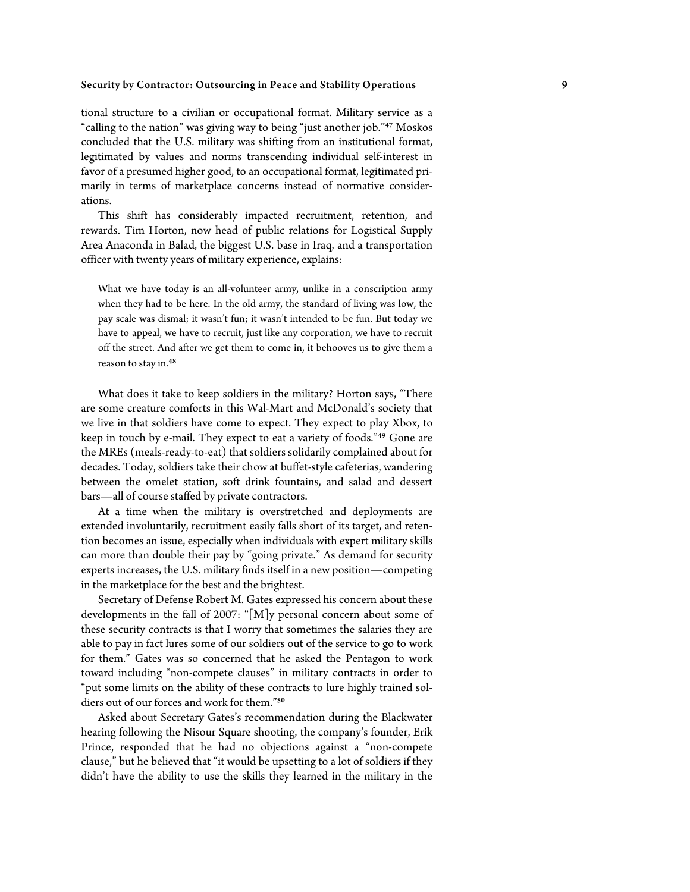tional structure to a civilian or occupational format. Military service as a "calling to the nation" was giving way to being "just another job."<sup>47</sup> Moskos concluded that the U.S. military was shifting from an institutional format, legitimated by values and norms transcending individual self-interest in favor of a presumed higher good, to an occupational format, legitimated primarily in terms of marketplace concerns instead of normative considerations.

This shift has considerably impacted recruitment, retention, and rewards. Tim Horton, now head of public relations for Logistical Supply Area Anaconda in Balad, the biggest U.S. base in Iraq, and a transportation officer with twenty years of military experience, explains:

What we have today is an all-volunteer army, unlike in a conscription army when they had to be here. In the old army, the standard of living was low, the pay scale was dismal; it wasn't fun; it wasn't intended to be fun. But today we have to appeal, we have to recruit, just like any corporation, we have to recruit off the street. And after we get them to come in, it behooves us to give them a reason to stay in.<sup>48</sup>

What does it take to keep soldiers in the military? Horton says, "There are some creature comforts in this Wal-Mart and McDonald's society that we live in that soldiers have come to expect. They expect to play Xbox, to keep in touch by e-mail. They expect to eat a variety of foods."<sup>49</sup> Gone are the MREs (meals-ready-to-eat) that soldiers solidarily complained about for decades. Today, soldiers take their chow at buffet-style cafeterias, wandering between the omelet station, soft drink fountains, and salad and dessert bars—all of course staffed by private contractors.

At a time when the military is overstretched and deployments are extended involuntarily, recruitment easily falls short of its target, and retention becomes an issue, especially when individuals with expert military skills can more than double their pay by "going private." As demand for security experts increases, the U.S. military finds itself in a new position—competing in the marketplace for the best and the brightest.

Secretary of Defense Robert M. Gates expressed his concern about these developments in the fall of 2007: "[M]y personal concern about some of these security contracts is that I worry that sometimes the salaries they are able to pay in fact lures some of our soldiers out of the service to go to work for them." Gates was so concerned that he asked the Pentagon to work toward including "non-compete clauses" in military contracts in order to "put some limits on the ability of these contracts to lure highly trained soldiers out of our forces and work for them."<sup>50</sup>

Asked about Secretary Gates's recommendation during the Blackwater hearing following the Nisour Square shooting, the company's founder, Erik Prince, responded that he had no objections against a "non-compete clause," but he believed that "it would be upsetting to a lot of soldiers if they didn't have the ability to use the skills they learned in the military in the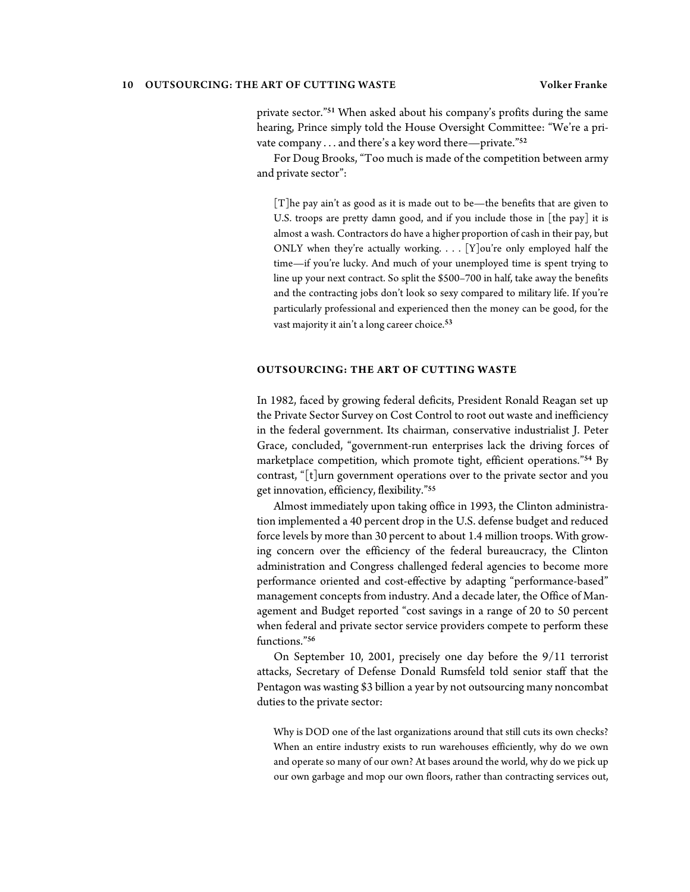#### 10 OUTSOURCING: THE ART OF CUTTING WASTE Volker Franke

private sector."<sup>51</sup> When asked about his company's profits during the same hearing, Prince simply told the House Oversight Committee: "We're a private company . . . and there's a key word there—private."<sup>52</sup>

For Doug Brooks, "Too much is made of the competition between army and private sector":

[T]he pay ain't as good as it is made out to be—the benefits that are given to U.S. troops are pretty damn good, and if you include those in [the pay] it is almost a wash. Contractors do have a higher proportion of cash in their pay, but ONLY when they're actually working.  $\ldots$  [Y]ou're only employed half the time—if you're lucky. And much of your unemployed time is spent trying to line up your next contract. So split the \$500–700 in half, take away the benefits and the contracting jobs don't look so sexy compared to military life. If you're particularly professional and experienced then the money can be good, for the vast majority it ain't a long career choice.<sup>53</sup>

#### **OUTSOURCING: THE ART OF CUTTING WASTE**

In 1982, faced by growing federal deficits, President Ronald Reagan set up the Private Sector Survey on Cost Control to root out waste and inefficiency in the federal government. Its chairman, conservative industrialist J. Peter Grace, concluded, "government-run enterprises lack the driving forces of marketplace competition, which promote tight, efficient operations."<sup>54</sup> By contrast, "[t]urn government operations over to the private sector and you get innovation, efficiency, flexibility."<sup>55</sup>

Almost immediately upon taking office in 1993, the Clinton administration implemented a 40 percent drop in the U.S. defense budget and reduced force levels by more than 30 percent to about 1.4 million troops. With growing concern over the efficiency of the federal bureaucracy, the Clinton administration and Congress challenged federal agencies to become more performance oriented and cost-effective by adapting "performance-based" management concepts from industry. And a decade later, the Office of Management and Budget reported "cost savings in a range of 20 to 50 percent when federal and private sector service providers compete to perform these functions<sup>"56</sup>

On September 10, 2001, precisely one day before the 9/11 terrorist attacks, Secretary of Defense Donald Rumsfeld told senior staff that the Pentagon was wasting \$3 billion a year by not outsourcing many noncombat duties to the private sector:

Why is DOD one of the last organizations around that still cuts its own checks? When an entire industry exists to run warehouses efficiently, why do we own and operate so many of our own? At bases around the world, why do we pick up our own garbage and mop our own floors, rather than contracting services out,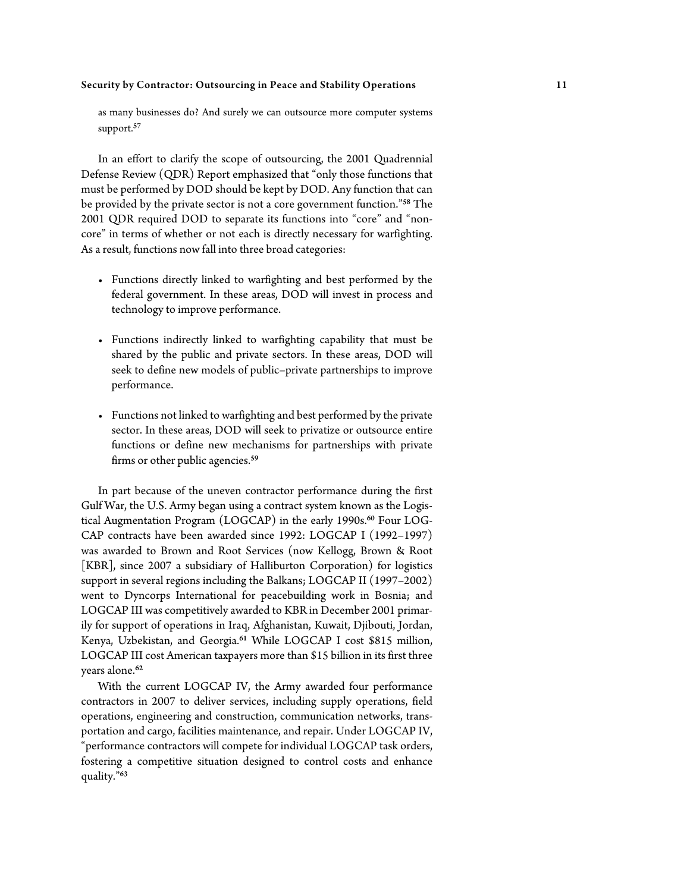as many businesses do? And surely we can outsource more computer systems support.<sup>57</sup>

In an effort to clarify the scope of outsourcing, the 2001 Quadrennial Defense Review (QDR) Report emphasized that "only those functions that must be performed by DOD should be kept by DOD. Any function that can be provided by the private sector is not a core government function."<sup>58</sup> The 2001 QDR required DOD to separate its functions into "core" and "noncore" in terms of whether or not each is directly necessary for warfighting. As a result, functions now fall into three broad categories:

- Functions directly linked to warfighting and best performed by the federal government. In these areas, DOD will invest in process and technology to improve performance.
- Functions indirectly linked to warfighting capability that must be shared by the public and private sectors. In these areas, DOD will seek to define new models of public–private partnerships to improve performance.
- Functions not linked to warfighting and best performed by the private sector. In these areas, DOD will seek to privatize or outsource entire functions or define new mechanisms for partnerships with private firms or other public agencies.<sup>59</sup>

In part because of the uneven contractor performance during the first Gulf War, the U.S. Army began using a contract system known as the Logistical Augmentation Program (LOGCAP) in the early 1990s.<sup>60</sup> Four LOG-CAP contracts have been awarded since 1992: LOGCAP I (1992–1997) was awarded to Brown and Root Services (now Kellogg, Brown & Root [KBR], since 2007 a subsidiary of Halliburton Corporation) for logistics support in several regions including the Balkans; LOGCAP II (1997–2002) went to Dyncorps International for peacebuilding work in Bosnia; and LOGCAP III was competitively awarded to KBR in December 2001 primarily for support of operations in Iraq, Afghanistan, Kuwait, Djibouti, Jordan, Kenya, Uzbekistan, and Georgia.<sup>61</sup> While LOGCAP I cost \$815 million, LOGCAP III cost American taxpayers more than \$15 billion in its first three years alone.<sup>62</sup>

With the current LOGCAP IV, the Army awarded four performance contractors in 2007 to deliver services, including supply operations, field operations, engineering and construction, communication networks, transportation and cargo, facilities maintenance, and repair. Under LOGCAP IV, "performance contractors will compete for individual LOGCAP task orders, fostering a competitive situation designed to control costs and enhance quality."63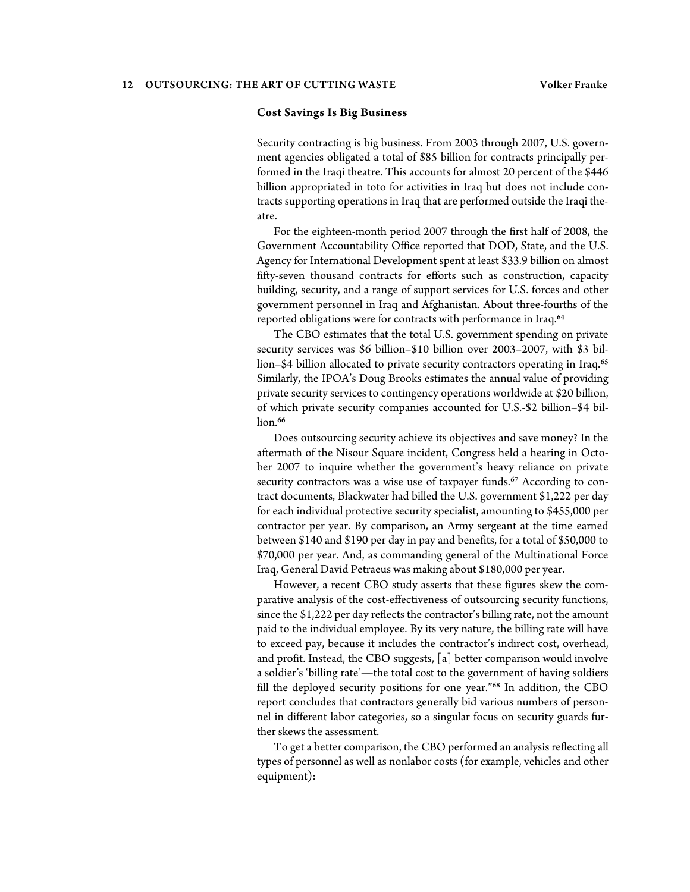#### **Cost Savings Is Big Business**

Security contracting is big business. From 2003 through 2007, U.S. government agencies obligated a total of \$85 billion for contracts principally performed in the Iraqi theatre. This accounts for almost 20 percent of the \$446 billion appropriated in toto for activities in Iraq but does not include contracts supporting operations in Iraq that are performed outside the Iraqi theatre.

For the eighteen-month period 2007 through the first half of 2008, the Government Accountability Office reported that DOD, State, and the U.S. Agency for International Development spent at least \$33.9 billion on almost fifty-seven thousand contracts for efforts such as construction, capacity building, security, and a range of support services for U.S. forces and other government personnel in Iraq and Afghanistan. About three-fourths of the reported obligations were for contracts with performance in Iraq.<sup>64</sup>

The CBO estimates that the total U.S. government spending on private security services was \$6 billion–\$10 billion over 2003–2007, with \$3 billion–\$4 billion allocated to private security contractors operating in Iraq.<sup>65</sup> Similarly, the IPOA's Doug Brooks estimates the annual value of providing private security services to contingency operations worldwide at \$20 billion, of which private security companies accounted for U.S.-\$2 billion–\$4 billion.<sup>66</sup>

Does outsourcing security achieve its objectives and save money? In the aftermath of the Nisour Square incident, Congress held a hearing in October 2007 to inquire whether the government's heavy reliance on private security contractors was a wise use of taxpayer funds.<sup>67</sup> According to contract documents, Blackwater had billed the U.S. government \$1,222 per day for each individual protective security specialist, amounting to \$455,000 per contractor per year. By comparison, an Army sergeant at the time earned between \$140 and \$190 per day in pay and benefits, for a total of \$50,000 to \$70,000 per year. And, as commanding general of the Multinational Force Iraq, General David Petraeus was making about \$180,000 per year.

However, a recent CBO study asserts that these figures skew the comparative analysis of the cost-effectiveness of outsourcing security functions, since the \$1,222 per day reflects the contractor's billing rate, not the amount paid to the individual employee. By its very nature, the billing rate will have to exceed pay, because it includes the contractor's indirect cost, overhead, and profit. Instead, the CBO suggests, [a] better comparison would involve a soldier's 'billing rate'—the total cost to the government of having soldiers fill the deployed security positions for one year."<sup>68</sup> In addition, the CBO report concludes that contractors generally bid various numbers of personnel in different labor categories, so a singular focus on security guards further skews the assessment.

To get a better comparison, the CBO performed an analysis reflecting all types of personnel as well as nonlabor costs (for example, vehicles and other equipment):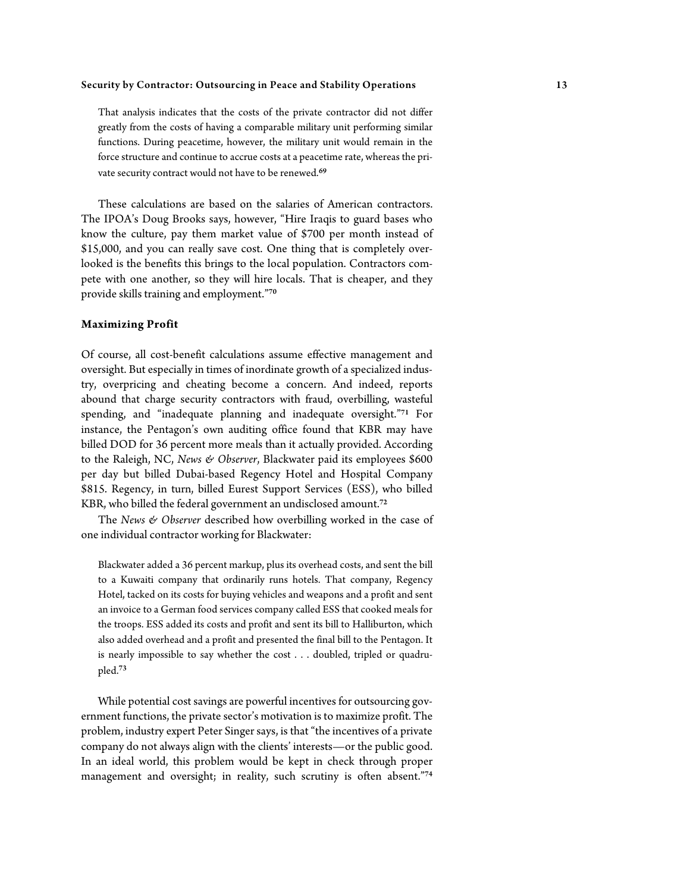That analysis indicates that the costs of the private contractor did not differ greatly from the costs of having a comparable military unit performing similar functions. During peacetime, however, the military unit would remain in the force structure and continue to accrue costs at a peacetime rate, whereas the private security contract would not have to be renewed.<sup>69</sup>

These calculations are based on the salaries of American contractors. The IPOA's Doug Brooks says, however, "Hire Iraqis to guard bases who know the culture, pay them market value of \$700 per month instead of \$15,000, and you can really save cost. One thing that is completely overlooked is the benefits this brings to the local population. Contractors compete with one another, so they will hire locals. That is cheaper, and they provide skills training and employment."<sup>70</sup>

#### **Maximizing Profit**

Of course, all cost-benefit calculations assume effective management and oversight. But especially in times of inordinate growth of a specialized industry, overpricing and cheating become a concern. And indeed, reports abound that charge security contractors with fraud, overbilling, wasteful spending, and "inadequate planning and inadequate oversight."<sup>71</sup> For instance, the Pentagon's own auditing office found that KBR may have billed DOD for 36 percent more meals than it actually provided. According to the Raleigh, NC, *News & Observer*, Blackwater paid its employees \$600 per day but billed Dubai-based Regency Hotel and Hospital Company \$815. Regency, in turn, billed Eurest Support Services (ESS), who billed KBR, who billed the federal government an undisclosed amount.<sup>72</sup>

The *News & Observer* described how overbilling worked in the case of one individual contractor working for Blackwater:

Blackwater added a 36 percent markup, plus its overhead costs, and sent the bill to a Kuwaiti company that ordinarily runs hotels. That company, Regency Hotel, tacked on its costs for buying vehicles and weapons and a profit and sent an invoice to a German food services company called ESS that cooked meals for the troops. ESS added its costs and profit and sent its bill to Halliburton, which also added overhead and a profit and presented the final bill to the Pentagon. It is nearly impossible to say whether the cost . . . doubled, tripled or quadrupled.<sup>73</sup>

While potential cost savings are powerful incentives for outsourcing government functions, the private sector's motivation is to maximize profit. The problem, industry expert Peter Singer says, is that "the incentives of a private company do not always align with the clients' interests—or the public good. In an ideal world, this problem would be kept in check through proper management and oversight; in reality, such scrutiny is often absent."74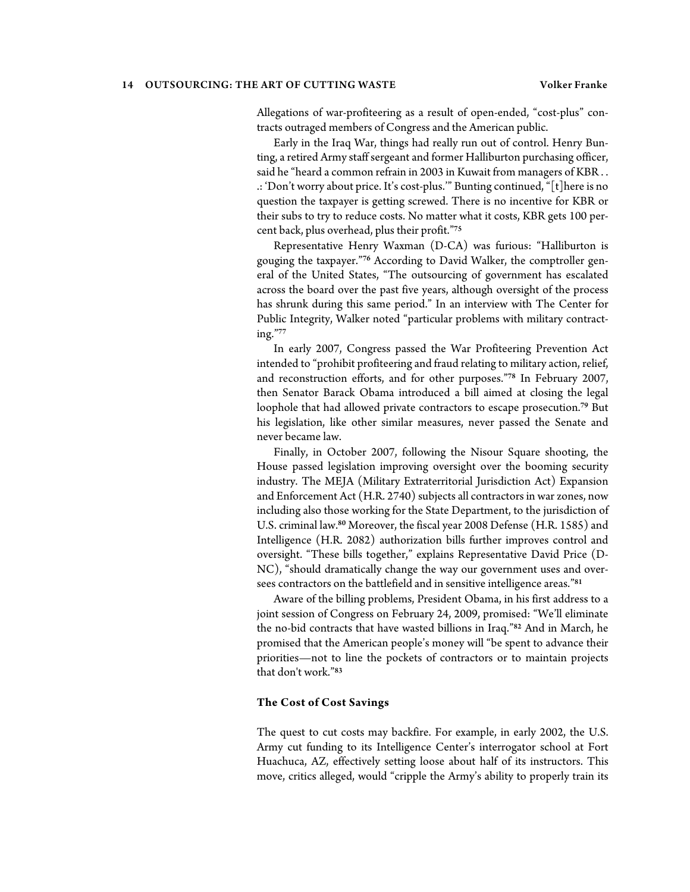Allegations of war-profiteering as a result of open-ended, "cost-plus" contracts outraged members of Congress and the American public.

Early in the Iraq War, things had really run out of control. Henry Bunting, a retired Army staff sergeant and former Halliburton purchasing officer, said he "heard a common refrain in 2003 in Kuwait from managers of KBR . . .: 'Don't worry about price. It's cost-plus.'" Bunting continued, "[t]here is no question the taxpayer is getting screwed. There is no incentive for KBR or their subs to try to reduce costs. No matter what it costs, KBR gets 100 percent back, plus overhead, plus their profit."<sup>75</sup>

Representative Henry Waxman (D-CA) was furious: "Halliburton is gouging the taxpayer."76 According to David Walker, the comptroller general of the United States, "The outsourcing of government has escalated across the board over the past five years, although oversight of the process has shrunk during this same period." In an interview with The Center for Public Integrity, Walker noted "particular problems with military contracting."<sup>77</sup>

In early 2007, Congress passed the War Profiteering Prevention Act intended to "prohibit profiteering and fraud relating to military action, relief, and reconstruction efforts, and for other purposes."<sup>78</sup> In February 2007, then Senator Barack Obama introduced a bill aimed at closing the legal loophole that had allowed private contractors to escape prosecution.<sup>79</sup> But his legislation, like other similar measures, never passed the Senate and never became law.

Finally, in October 2007, following the Nisour Square shooting, the House passed legislation improving oversight over the booming security industry. The MEJA (Military Extraterritorial Jurisdiction Act) Expansion and Enforcement Act (H.R. 2740) subjects all contractors in war zones, now including also those working for the State Department, to the jurisdiction of U.S. criminal law.<sup>80</sup> Moreover, the fiscal year 2008 Defense (H.R. 1585) and Intelligence (H.R. 2082) authorization bills further improves control and oversight. "These bills together," explains Representative David Price (D-NC), "should dramatically change the way our government uses and oversees contractors on the battlefield and in sensitive intelligence areas."<sup>81</sup>

Aware of the billing problems, President Obama, in his first address to a joint session of Congress on February 24, 2009, promised: "We'll eliminate the no-bid contracts that have wasted billions in Iraq."<sup>82</sup> And in March, he promised that the American people's money will "be spent to advance their priorities—not to line the pockets of contractors or to maintain projects that don't work."<sup>83</sup>

#### **The Cost of Cost Savings**

The quest to cut costs may backfire. For example, in early 2002, the U.S. Army cut funding to its Intelligence Center's interrogator school at Fort Huachuca, AZ, effectively setting loose about half of its instructors. This move, critics alleged, would "cripple the Army's ability to properly train its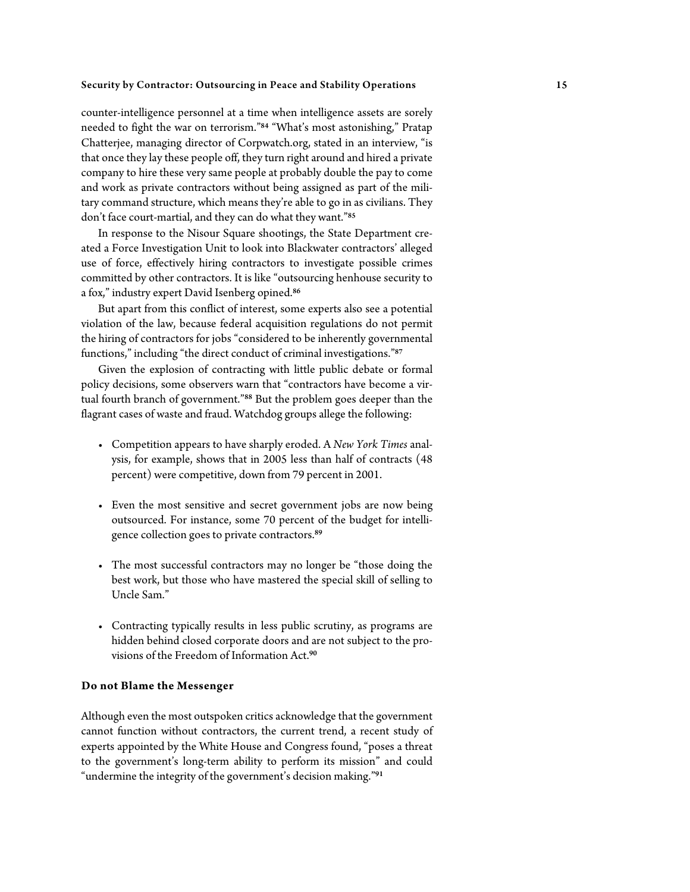counter-intelligence personnel at a time when intelligence assets are sorely needed to fight the war on terrorism."<sup>84</sup> "What's most astonishing," Pratap Chatterjee, managing director of Corpwatch.org, stated in an interview, "is that once they lay these people off, they turn right around and hired a private company to hire these very same people at probably double the pay to come and work as private contractors without being assigned as part of the military command structure, which means they're able to go in as civilians. They don't face court-martial, and they can do what they want."<sup>85</sup>

In response to the Nisour Square shootings, the State Department created a Force Investigation Unit to look into Blackwater contractors' alleged use of force, effectively hiring contractors to investigate possible crimes committed by other contractors. It is like "outsourcing henhouse security to a fox," industry expert David Isenberg opined.<sup>86</sup>

But apart from this conflict of interest, some experts also see a potential violation of the law, because federal acquisition regulations do not permit the hiring of contractors for jobs "considered to be inherently governmental functions," including "the direct conduct of criminal investigations."87

Given the explosion of contracting with little public debate or formal policy decisions, some observers warn that "contractors have become a virtual fourth branch of government."<sup>88</sup> But the problem goes deeper than the flagrant cases of waste and fraud. Watchdog groups allege the following:

- Competition appears to have sharply eroded. A *New York Times* analysis, for example, shows that in 2005 less than half of contracts (48 percent) were competitive, down from 79 percent in 2001.
- Even the most sensitive and secret government jobs are now being outsourced. For instance, some 70 percent of the budget for intelligence collection goes to private contractors.<sup>89</sup>
- The most successful contractors may no longer be "those doing the best work, but those who have mastered the special skill of selling to Uncle Sam."
- Contracting typically results in less public scrutiny, as programs are hidden behind closed corporate doors and are not subject to the provisions of the Freedom of Information Act.<sup>90</sup>

#### **Do not Blame the Messenger**

Although even the most outspoken critics acknowledge that the government cannot function without contractors, the current trend, a recent study of experts appointed by the White House and Congress found, "poses a threat to the government's long-term ability to perform its mission" and could "undermine the integrity of the government's decision making."<sup>91</sup>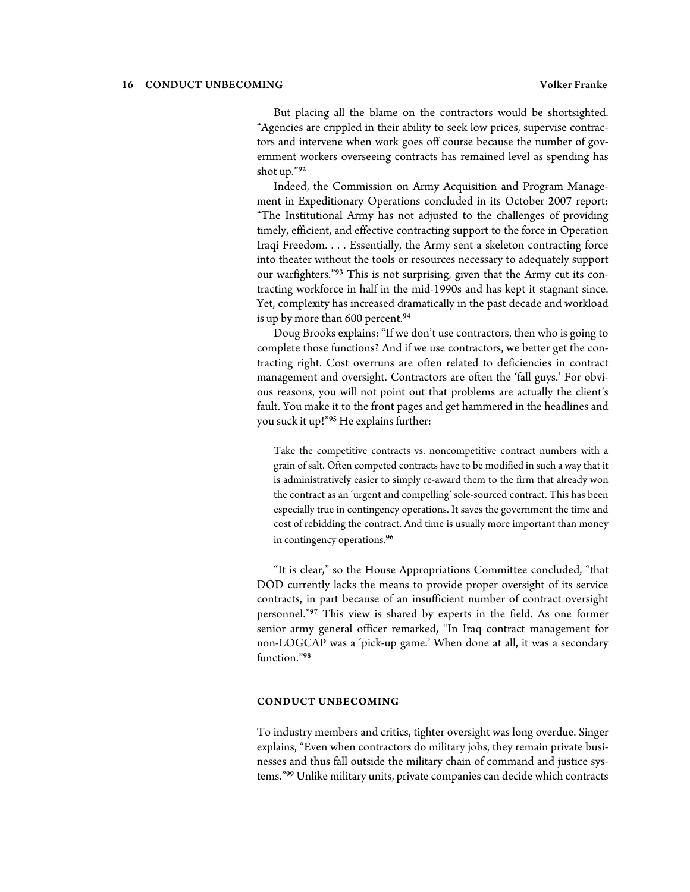But placing all the blame on the contractors would be shortsighted. "Agencies are crippled in their ability to seek low prices, supervise contractors and intervene when work goes off course because the number of government workers overseeing contracts has remained level as spending has shot up."<sup>92</sup>

Indeed, the Commission on Army Acquisition and Program Management in Expeditionary Operations concluded in its October 2007 report: "The Institutional Army has not adjusted to the challenges of providing timely, efficient, and effective contracting support to the force in Operation Iraqi Freedom. . . . Essentially, the Army sent a skeleton contracting force into theater without the tools or resources necessary to adequately support our warfighters."93 This is not surprising, given that the Army cut its contracting workforce in half in the mid-1990s and has kept it stagnant since. Yet, complexity has increased dramatically in the past decade and workload is up by more than 600 percent.<sup>94</sup>

Doug Brooks explains: "If we don't use contractors, then who is going to complete those functions? And if we use contractors, we better get the contracting right. Cost overruns are often related to deficiencies in contract management and oversight. Contractors are often the 'fall guys.' For obvious reasons, you will not point out that problems are actually the client's fault. You make it to the front pages and get hammered in the headlines and you suck it up!"<sup>95</sup> He explains further:

Take the competitive contracts vs. noncompetitive contract numbers with a grain of salt. Often competed contracts have to be modified in such a way that it is administratively easier to simply re-award them to the firm that already won the contract as an 'urgent and compelling' sole-sourced contract. This has been especially true in contingency operations. It saves the government the time and cost of rebidding the contract. And time is usually more important than money in contingency operations.<sup>96</sup>

"It is clear," so the House Appropriations Committee concluded, "that DOD currently lacks the means to provide proper oversight of its service contracts, in part because of an insufficient number of contract oversight personnel."<sup>97</sup> This view is shared by experts in the field. As one former senior army general officer remarked, "In Iraq contract management for non-LOGCAP was a 'pick-up game.' When done at all, it was a secondary function."<sup>98</sup>

#### **CONDUCT UNBECOMING**

To industry members and critics, tighter oversight was long overdue. Singer explains, "Even when contractors do military jobs, they remain private businesses and thus fall outside the military chain of command and justice systems."99 Unlike military units, private companies can decide which contracts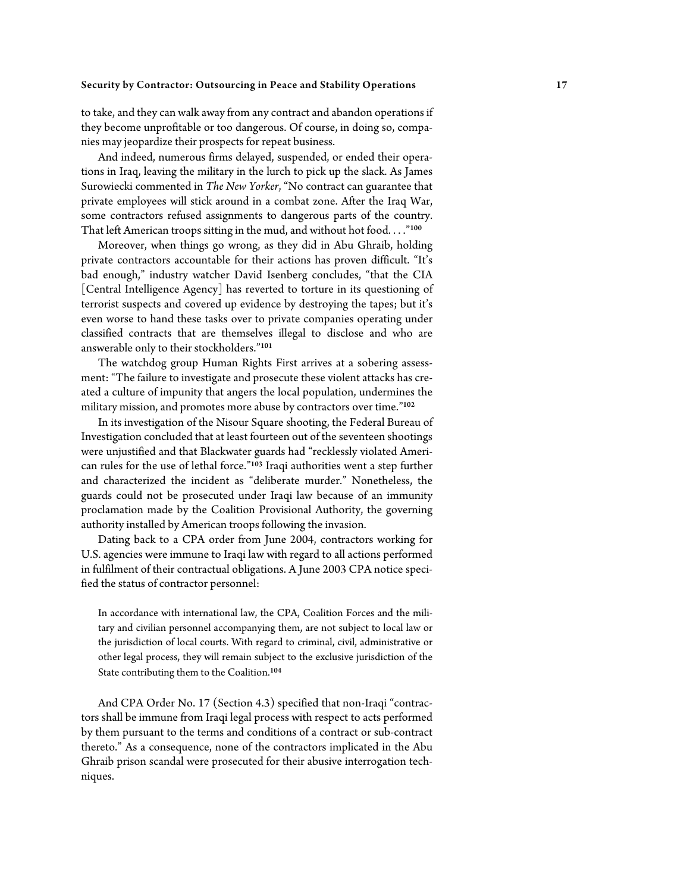to take, and they can walk away from any contract and abandon operations if they become unprofitable or too dangerous. Of course, in doing so, companies may jeopardize their prospects for repeat business.

And indeed, numerous firms delayed, suspended, or ended their operations in Iraq, leaving the military in the lurch to pick up the slack. As James Surowiecki commented in *The New Yorker*, "No contract can guarantee that private employees will stick around in a combat zone. After the Iraq War, some contractors refused assignments to dangerous parts of the country. That left American troops sitting in the mud, and without hot food...."<sup>100</sup>

Moreover, when things go wrong, as they did in Abu Ghraib, holding private contractors accountable for their actions has proven difficult. "It's bad enough," industry watcher David Isenberg concludes, "that the CIA [Central Intelligence Agency] has reverted to torture in its questioning of terrorist suspects and covered up evidence by destroying the tapes; but it's even worse to hand these tasks over to private companies operating under classified contracts that are themselves illegal to disclose and who are answerable only to their stockholders."<sup>101</sup>

The watchdog group Human Rights First arrives at a sobering assessment: "The failure to investigate and prosecute these violent attacks has created a culture of impunity that angers the local population, undermines the military mission, and promotes more abuse by contractors over time."<sup>102</sup>

In its investigation of the Nisour Square shooting, the Federal Bureau of Investigation concluded that at least fourteen out of the seventeen shootings were unjustified and that Blackwater guards had "recklessly violated American rules for the use of lethal force."<sup>103</sup> Iraqi authorities went a step further and characterized the incident as "deliberate murder." Nonetheless, the guards could not be prosecuted under Iraqi law because of an immunity proclamation made by the Coalition Provisional Authority, the governing authority installed by American troops following the invasion.

Dating back to a CPA order from June 2004, contractors working for U.S. agencies were immune to Iraqi law with regard to all actions performed in fulfilment of their contractual obligations. A June 2003 CPA notice specified the status of contractor personnel:

In accordance with international law, the CPA, Coalition Forces and the military and civilian personnel accompanying them, are not subject to local law or the jurisdiction of local courts. With regard to criminal, civil, administrative or other legal process, they will remain subject to the exclusive jurisdiction of the State contributing them to the Coalition.<sup>104</sup>

And CPA Order No. 17 (Section 4.3) specified that non-Iraqi "contractors shall be immune from Iraqi legal process with respect to acts performed by them pursuant to the terms and conditions of a contract or sub-contract thereto." As a consequence, none of the contractors implicated in the Abu Ghraib prison scandal were prosecuted for their abusive interrogation techniques.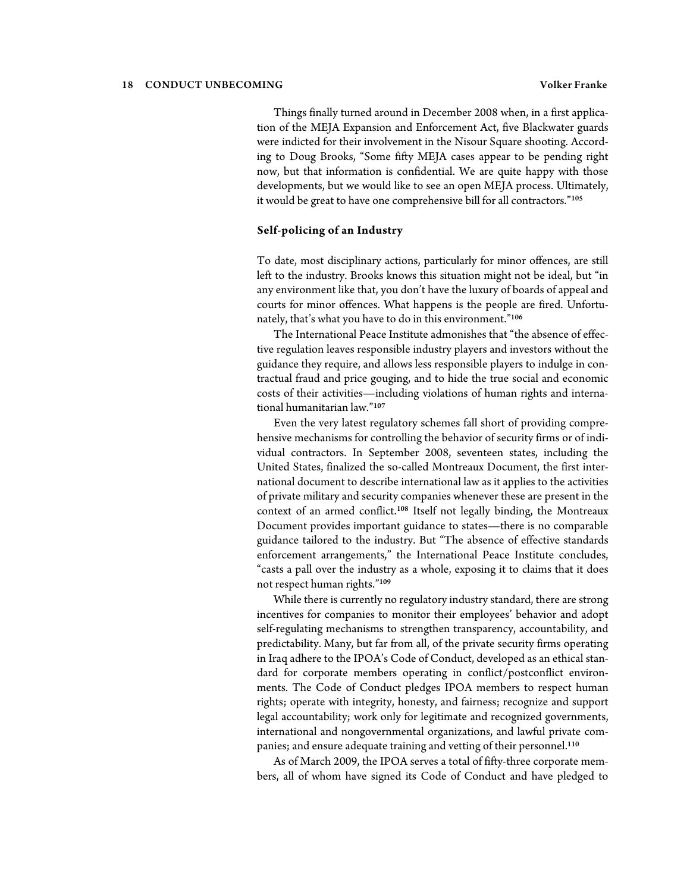Things finally turned around in December 2008 when, in a first application of the MEJA Expansion and Enforcement Act, five Blackwater guards were indicted for their involvement in the Nisour Square shooting. According to Doug Brooks, "Some fifty MEJA cases appear to be pending right now, but that information is confidential. We are quite happy with those developments, but we would like to see an open MEJA process. Ultimately, it would be great to have one comprehensive bill for all contractors."<sup>105</sup>

#### **Self-policing of an Industry**

To date, most disciplinary actions, particularly for minor offences, are still left to the industry. Brooks knows this situation might not be ideal, but "in any environment like that, you don't have the luxury of boards of appeal and courts for minor offences. What happens is the people are fired. Unfortunately, that's what you have to do in this environment."<sup>106</sup>

The International Peace Institute admonishes that "the absence of effective regulation leaves responsible industry players and investors without the guidance they require, and allows less responsible players to indulge in contractual fraud and price gouging, and to hide the true social and economic costs of their activities—including violations of human rights and international humanitarian law."<sup>107</sup>

Even the very latest regulatory schemes fall short of providing comprehensive mechanisms for controlling the behavior of security firms or of individual contractors. In September 2008, seventeen states, including the United States, finalized the so-called Montreaux Document, the first international document to describe international law as it applies to the activities of private military and security companies whenever these are present in the context of an armed conflict.<sup>108</sup> Itself not legally binding, the Montreaux Document provides important guidance to states—there is no comparable guidance tailored to the industry. But "The absence of effective standards enforcement arrangements," the International Peace Institute concludes, "casts a pall over the industry as a whole, exposing it to claims that it does not respect human rights."<sup>109</sup>

While there is currently no regulatory industry standard, there are strong incentives for companies to monitor their employees' behavior and adopt self-regulating mechanisms to strengthen transparency, accountability, and predictability. Many, but far from all, of the private security firms operating in Iraq adhere to the IPOA's Code of Conduct, developed as an ethical standard for corporate members operating in conflict/postconflict environments. The Code of Conduct pledges IPOA members to respect human rights; operate with integrity, honesty, and fairness; recognize and support legal accountability; work only for legitimate and recognized governments, international and nongovernmental organizations, and lawful private companies; and ensure adequate training and vetting of their personnel.<sup>110</sup>

As of March 2009, the IPOA serves a total of fifty-three corporate members, all of whom have signed its Code of Conduct and have pledged to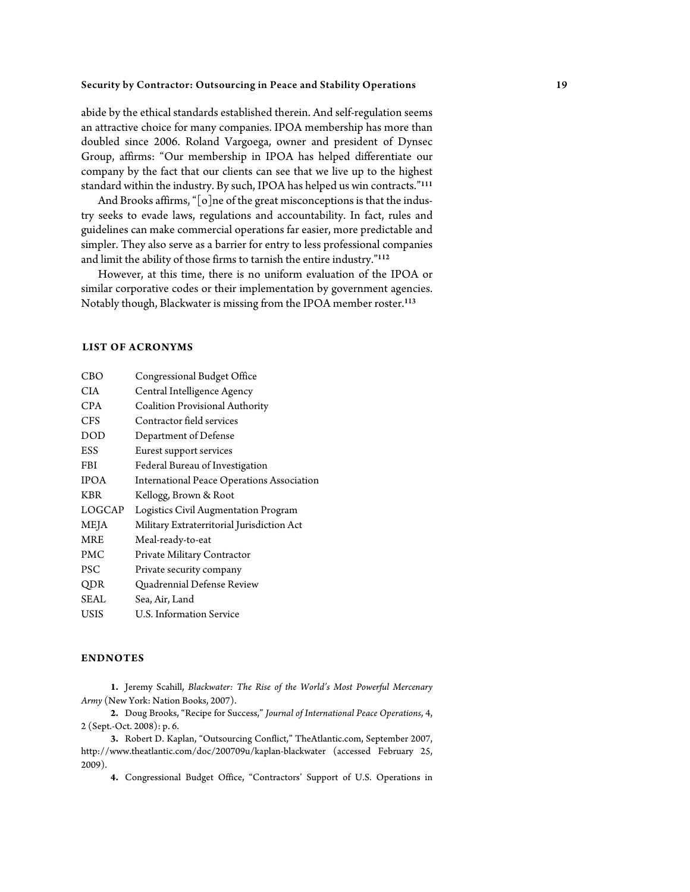abide by the ethical standards established therein. And self-regulation seems an attractive choice for many companies. IPOA membership has more than doubled since 2006. Roland Vargoega, owner and president of Dynsec Group, affirms: "Our membership in IPOA has helped differentiate our company by the fact that our clients can see that we live up to the highest standard within the industry. By such, IPOA has helped us win contracts."<sup>111</sup>

And Brooks affirms, "[o]ne of the great misconceptions is that the industry seeks to evade laws, regulations and accountability. In fact, rules and guidelines can make commercial operations far easier, more predictable and simpler. They also serve as a barrier for entry to less professional companies and limit the ability of those firms to tarnish the entire industry."<sup>112</sup>

However, at this time, there is no uniform evaluation of the IPOA or similar corporative codes or their implementation by government agencies. Notably though, Blackwater is missing from the IPOA member roster.<sup>113</sup>

#### **LIST OF ACRONYMS**

| CBO         | Congressional Budget Office                       |
|-------------|---------------------------------------------------|
| <b>CIA</b>  | Central Intelligence Agency                       |
| <b>CPA</b>  | Coalition Provisional Authority                   |
| <b>CFS</b>  | Contractor field services                         |
| <b>DOD</b>  | Department of Defense                             |
| ESS         | Eurest support services                           |
| <b>FBI</b>  | Federal Bureau of Investigation                   |
| <b>IPOA</b> | <b>International Peace Operations Association</b> |
| <b>KBR</b>  | Kellogg, Brown & Root                             |
| LOGCAP      | Logistics Civil Augmentation Program              |
| MEJA        | Military Extraterritorial Jurisdiction Act        |
| <b>MRE</b>  | Meal-ready-to-eat                                 |
| PMC         | Private Military Contractor                       |
| PSC         | Private security company                          |
| QDR         | Quadrennial Defense Review                        |
| <b>SEAL</b> | Sea, Air, Land                                    |
| USIS        | U.S. Information Service                          |

### **ENDNOTES**

**1.** Jeremy Scahill, *Blackwater: The Rise of the World's Most Powerful Mercenary Army* (New York: Nation Books, 2007).

**2.** Doug Brooks, "Recipe for Success," *Journal of International Peace Operations*, 4, 2 (Sept.-Oct. 2008): p. 6.

**3.** Robert D. Kaplan, "Outsourcing Conflict," TheAtlantic.com, September 2007, http://www.theatlantic.com/doc/200709u/kaplan-blackwater (accessed February 25, 2009).

**4.** Congressional Budget Office, "Contractors' Support of U.S. Operations in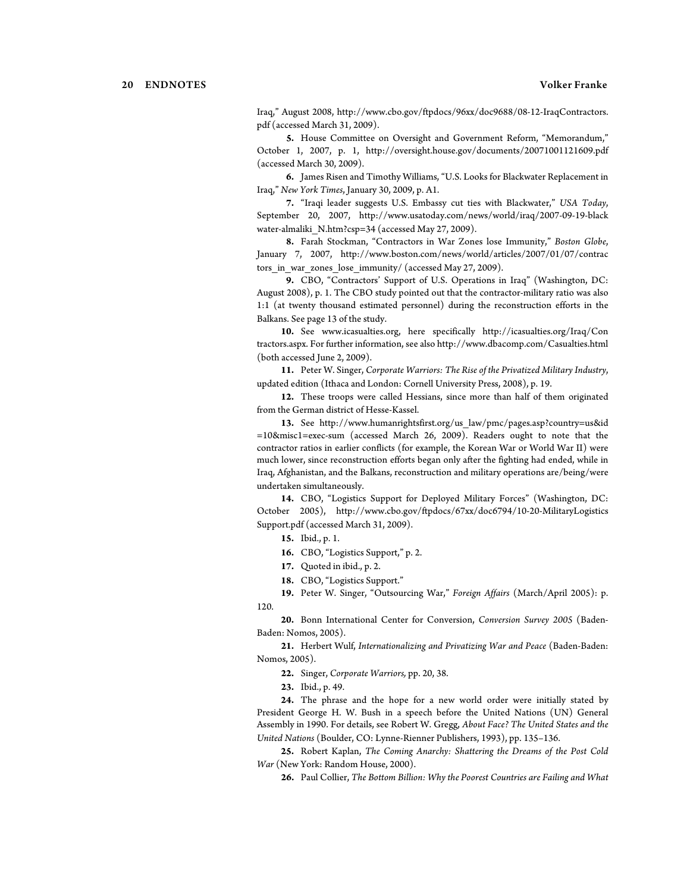Iraq," August 2008, http://www.cbo.gov/ftpdocs/96xx/doc9688/08-12-IraqContractors. pdf (accessed March 31, 2009).

**5.** House Committee on Oversight and Government Reform, "Memorandum," October 1, 2007, p. 1, http://oversight.house.gov/documents/20071001121609.pdf (accessed March 30, 2009).

**6.** James Risen and Timothy Williams, "U.S. Looks for Blackwater Replacement in Iraq," *New York Times*, January 30, 2009, p. A1.

**7.** "Iraqi leader suggests U.S. Embassy cut ties with Blackwater," *USA Today*, September 20, 2007, http://www.usatoday.com/news/world/iraq/2007-09-19-black water-almaliki N.htm?csp=34 (accessed May 27, 2009).

**8.** Farah Stockman, "Contractors in War Zones lose Immunity," *Boston Globe*, January 7, 2007, http://www.boston.com/news/world/articles/2007/01/07/contrac tors in war zones lose immunity/ (accessed May 27, 2009).

**9.** CBO, "Contractors' Support of U.S. Operations in Iraq" (Washington, DC: August 2008), p. 1. The CBO study pointed out that the contractor-military ratio was also 1:1 (at twenty thousand estimated personnel) during the reconstruction efforts in the Balkans. See page 13 of the study.

**10.** See www.icasualties.org, here specifically http://icasualties.org/Iraq/Con tractors.aspx. For further information, see also http://www.dbacomp.com/Casualties.html (both accessed June 2, 2009).

**11.** Peter W. Singer, *Corporate Warriors: The Rise of the Privatized Military Industry*, updated edition (Ithaca and London: Cornell University Press, 2008), p. 19.

**12.** These troops were called Hessians, since more than half of them originated from the German district of Hesse-Kassel.

**13.** See http://www.humanrightsfirst.org/us\_law/pmc/pages.asp?country=us&id =10&misc1=exec-sum (accessed March 26, 2009). Readers ought to note that the contractor ratios in earlier conflicts (for example, the Korean War or World War II) were much lower, since reconstruction efforts began only after the fighting had ended, while in Iraq, Afghanistan, and the Balkans, reconstruction and military operations are/being/were undertaken simultaneously.

**14.** CBO, "Logistics Support for Deployed Military Forces" (Washington, DC: October 2005), http://www.cbo.gov/ftpdocs/67xx/doc6794/10-20-MilitaryLogistics Support.pdf (accessed March 31, 2009).

**15.** Ibid., p. 1.

**16.** CBO, "Logistics Support," p. 2.

**17.** Quoted in ibid., p. 2.

**18.** CBO, "Logistics Support."

**19.** Peter W. Singer, "Outsourcing War," *Foreign Affairs* (March/April 2005): p. 120.

**20.** Bonn International Center for Conversion, *Conversion Survey 2005* (Baden-Baden: Nomos, 2005).

**21.** Herbert Wulf, *Internationalizing and Privatizing War and Peace* (Baden-Baden: Nomos, 2005).

**22.** Singer, *Corporate Warriors,* pp. 20, 38.

**23.** Ibid., p. 49.

**24.** The phrase and the hope for a new world order were initially stated by President George H. W. Bush in a speech before the United Nations (UN) General Assembly in 1990. For details, see Robert W. Gregg, *About Face? The United States and the United Nations* (Boulder, CO: Lynne-Rienner Publishers, 1993), pp. 135–136.

**25.** Robert Kaplan, *The Coming Anarchy: Shattering the Dreams of the Post Cold War* (New York: Random House, 2000).

**26.** Paul Collier, *The Bottom Billion: Why the Poorest Countries are Failing and What*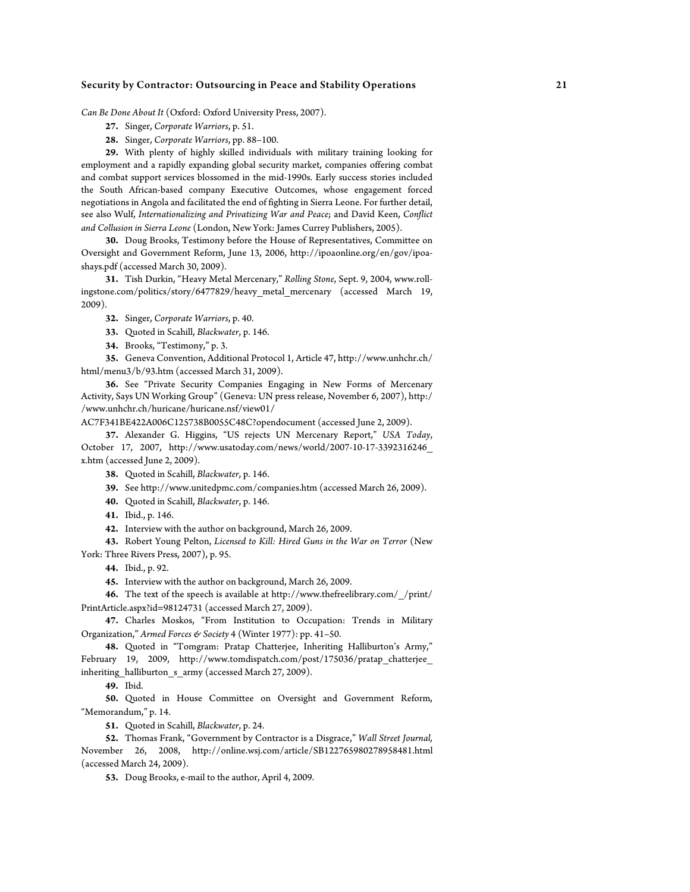*Can Be Done About It* (Oxford: Oxford University Press, 2007).

- **27.** Singer, *Corporate Warriors*, p. 51.
- **28.** Singer, *Corporate Warriors*, pp. 88–100.

**29.** With plenty of highly skilled individuals with military training looking for employment and a rapidly expanding global security market, companies offering combat and combat support services blossomed in the mid-1990s. Early success stories included the South African-based company Executive Outcomes, whose engagement forced negotiations in Angola and facilitated the end of fighting in Sierra Leone. For further detail, see also Wulf, *Internationalizing and Privatizing War and Peace*; and David Keen, *Conflict and Collusion in Sierra Leone* (London, New York: James Currey Publishers, 2005).

**30.** Doug Brooks, Testimony before the House of Representatives, Committee on Oversight and Government Reform, June 13, 2006, http://ipoaonline.org/en/gov/ipoashays.pdf (accessed March 30, 2009).

**31.** Tish Durkin, "Heavy Metal Mercenary," *Rolling Stone*, Sept. 9, 2004, www.rollingstone.com/politics/story/6477829/heavy\_metal\_mercenary (accessed March 19, 2009).

- **32.** Singer, *Corporate Warriors*, p. 40.
- **33.** Quoted in Scahill, *Blackwater*, p. 146.
- **34.** Brooks, "Testimony," p. 3.

**35.** Geneva Convention, Additional Protocol 1, Article 47, http://www.unhchr.ch/ html/menu3/b/93.htm (accessed March 31, 2009).

**36.** See "Private Security Companies Engaging in New Forms of Mercenary Activity, Says UN Working Group" (Geneva: UN press release, November 6, 2007), http:/ /www.unhchr.ch/huricane/huricane.nsf/view01/

AC7F341BE422A006C125738B0055C48C?opendocument (accessed June 2, 2009).

**37.** Alexander G. Higgins, "US rejects UN Mercenary Report," *USA Today*, October 17, 2007, http://www.usatoday.com/news/world/2007-10-17-3392316246\_ x.htm (accessed June 2, 2009).

**38.** Quoted in Scahill, *Blackwater*, p. 146.

- **39.** See http://www.unitedpmc.com/companies.htm (accessed March 26, 2009).
- **40.** Quoted in Scahill, *Blackwater*, p. 146.
- **41.** Ibid., p. 146.

**42.** Interview with the author on background, March 26, 2009.

**43.** Robert Young Pelton, *Licensed to Kill: Hired Guns in the War on Terror* (New

York: Three Rivers Press, 2007), p. 95.

**44.** Ibid., p. 92.

**45.** Interview with the author on background, March 26, 2009.

**46.** The text of the speech is available at http://www.thefreelibrary.com/\_/print/ PrintArticle.aspx?id=98124731 (accessed March 27, 2009).

**47.** Charles Moskos, "From Institution to Occupation: Trends in Military Organization," *Armed Forces & Society* 4 (Winter 1977): pp. 41–50.

**48.** Quoted in "Tomgram: Pratap Chatterjee, Inheriting Halliburton's Army," February 19, 2009, http://www.tomdispatch.com/post/175036/pratap\_chatterjee\_ inheriting\_halliburton\_s\_army (accessed March 27, 2009).

**49.** Ibid.

**50.** Quoted in House Committee on Oversight and Government Reform, "Memorandum," p. 14.

**51.** Quoted in Scahill, *Blackwater*, p. 24.

**52.** Thomas Frank, "Government by Contractor is a Disgrace," *Wall Street Journal,* November 26, 2008, http://online.wsj.com/article/SB122765980278958481.html (accessed March 24, 2009).

**53.** Doug Brooks, e-mail to the author, April 4, 2009.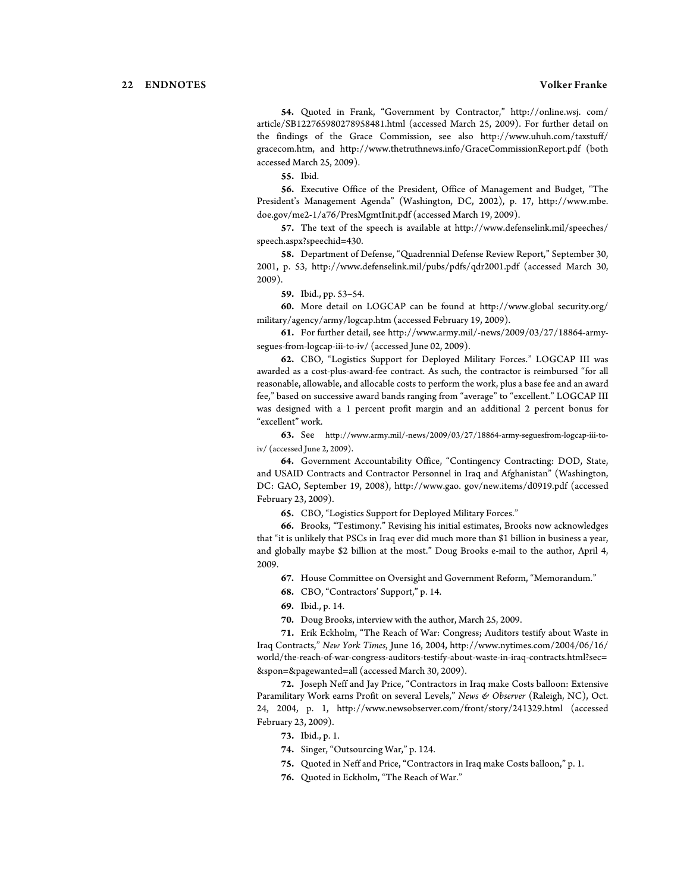**54.** Quoted in Frank, "Government by Contractor," http://online.wsj. com/ article/SB122765980278958481.html (accessed March 25, 2009). For further detail on the findings of the Grace Commission, see also http://www.uhuh.com/taxstuff/ gracecom.htm, and http://www.thetruthnews.info/GraceCommissionReport.pdf (both accessed March 25, 2009).

**55.** Ibid.

**56.** Executive Office of the President, Office of Management and Budget, "The President's Management Agenda" (Washington, DC, 2002), p. 17, http://www.mbe. doe.gov/me2-1/a76/PresMgmtInit.pdf (accessed March 19, 2009).

**57.** The text of the speech is available at http://www.defenselink.mil/speeches/ speech.aspx?speechid=430.

**58.** Department of Defense, "Quadrennial Defense Review Report," September 30, 2001, p. 53, http://www.defenselink.mil/pubs/pdfs/qdr2001.pdf (accessed March 30, 2009).

**59.** Ibid., pp. 53–54.

**60.** More detail on LOGCAP can be found at http://www.global security.org/ military/agency/army/logcap.htm (accessed February 19, 2009).

**61.** For further detail, see http://www.army.mil/-news/2009/03/27/18864-armysegues-from-logcap-iii-to-iv/ (accessed June 02, 2009).

**62.** CBO, "Logistics Support for Deployed Military Forces." LOGCAP III was awarded as a cost-plus-award-fee contract. As such, the contractor is reimbursed "for all reasonable, allowable, and allocable costs to perform the work, plus a base fee and an award fee," based on successive award bands ranging from "average" to "excellent." LOGCAP III was designed with a 1 percent profit margin and an additional 2 percent bonus for "excellent" work.

**63.** See http://www.army.mil/-news/2009/03/27/18864-army-seguesfrom-logcap-iii-toiv/ (accessed June 2, 2009).

**64.** Government Accountability Office, "Contingency Contracting: DOD, State, and USAID Contracts and Contractor Personnel in Iraq and Afghanistan" (Washington, DC: GAO, September 19, 2008), http://www.gao. gov/new.items/d0919.pdf (accessed February 23, 2009).

**65.** CBO, "Logistics Support for Deployed Military Forces."

**66.** Brooks, "Testimony." Revising his initial estimates, Brooks now acknowledges that "it is unlikely that PSCs in Iraq ever did much more than \$1 billion in business a year, and globally maybe \$2 billion at the most." Doug Brooks e-mail to the author, April 4, 2009.

**67.** House Committee on Oversight and Government Reform, "Memorandum."

**68.** CBO, "Contractors' Support," p. 14.

**69.** Ibid., p. 14.

**70.** Doug Brooks, interview with the author, March 25, 2009.

**71.** Erik Eckholm, "The Reach of War: Congress; Auditors testify about Waste in Iraq Contracts," *New York Times*, June 16, 2004, http://www.nytimes.com/2004/06/16/ world/the-reach-of-war-congress-auditors-testify-about-waste-in-iraq-contracts.html?sec= &spon=&pagewanted=all (accessed March 30, 2009).

**72.** Joseph Neff and Jay Price, "Contractors in Iraq make Costs balloon: Extensive Paramilitary Work earns Profit on several Levels," *News & Observer* (Raleigh, NC), Oct. 24, 2004, p. 1, http://www.newsobserver.com/front/story/241329.html (accessed February 23, 2009).

- **73.** Ibid., p. 1.
- **74.** Singer, "Outsourcing War," p. 124.
- **75.** Quoted in Neff and Price, "Contractors in Iraq make Costs balloon," p. 1.
- **76.** Quoted in Eckholm, "The Reach of War."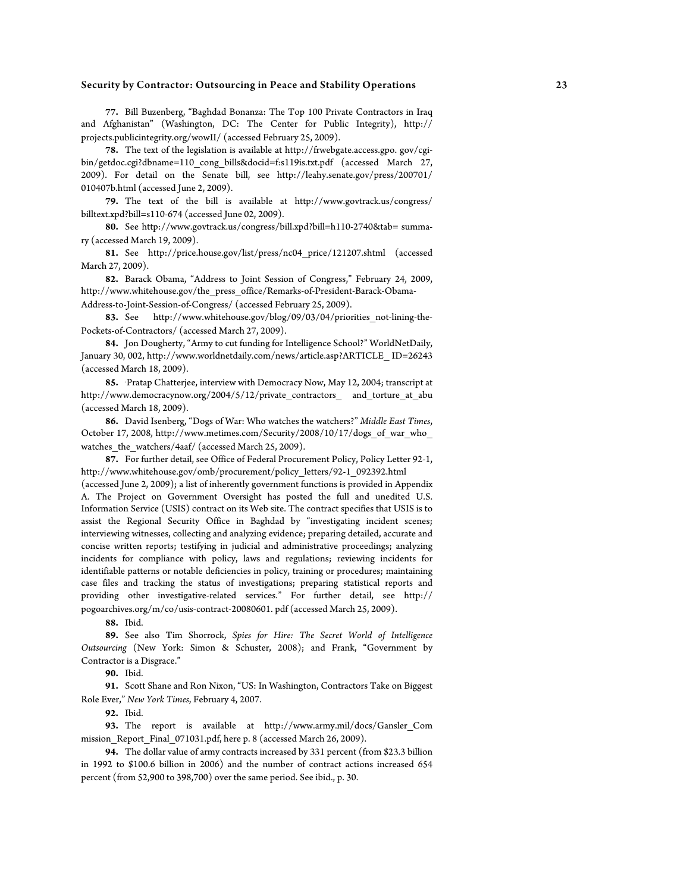**77.** Bill Buzenberg, "Baghdad Bonanza: The Top 100 Private Contractors in Iraq and Afghanistan" (Washington, DC: The Center for Public Integrity), http:// projects.publicintegrity.org/wowII/ (accessed February 25, 2009).

**78.** The text of the legislation is available at http://frwebgate.access.gpo. gov/cgibin/getdoc.cgi?dbname=110\_cong\_bills&docid=f:s119is.txt.pdf (accessed March 27, 2009). For detail on the Senate bill, see http://leahy.senate.gov/press/200701/ 010407b.html (accessed June 2, 2009).

**79.** The text of the bill is available at http://www.govtrack.us/congress/ billtext.xpd?bill=s110-674 (accessed June 02, 2009).

**80.** See http://www.govtrack.us/congress/bill.xpd?bill=h110-2740&tab= summary (accessed March 19, 2009).

**81.** See http://price.house.gov/list/press/nc04\_price/121207.shtml (accessed March 27, 2009).

**82.** Barack Obama, "Address to Joint Session of Congress," February 24, 2009, http://www.whitehouse.gov/the\_press\_office/Remarks-of-President-Barack-Obama-Address-to-Joint-Session-of-Congress/ (accessed February 25, 2009).

**83.** See http://www.whitehouse.gov/blog/09/03/04/priorities\_not-lining-the-Pockets-of-Contractors/ (accessed March 27, 2009).

**84.** Jon Dougherty, "Army to cut funding for Intelligence School?" WorldNetDaily, January 30, 002, http://www.worldnetdaily.com/news/article.asp?ARTICLE\_ ID=26243 (accessed March 18, 2009).

**85.** . Pratap Chatterjee, interview with Democracy Now, May 12, 2004; transcript at http://www.democracynow.org/2004/5/12/private\_contractors\_ and\_torture\_at\_abu (accessed March 18, 2009).

**86.** David Isenberg, "Dogs of War: Who watches the watchers?" *Middle East Times*, October 17, 2008, http://www.metimes.com/Security/2008/10/17/dogs\_of\_war\_who\_ watches\_the\_watchers/4aaf/ (accessed March 25, 2009).

**87.** For further detail, see Office of Federal Procurement Policy, Policy Letter 92-1, http://www.whitehouse.gov/omb/procurement/policy\_letters/92-1\_092392.html (accessed June 2, 2009); a list of inherently government functions is provided in Appendix A. The Project on Government Oversight has posted the full and unedited U.S. Information Service (USIS) contract on its Web site. The contract specifies that USIS is to assist the Regional Security Office in Baghdad by "investigating incident scenes; interviewing witnesses, collecting and analyzing evidence; preparing detailed, accurate and concise written reports; testifying in judicial and administrative proceedings; analyzing incidents for compliance with policy, laws and regulations; reviewing incidents for identifiable patterns or notable deficiencies in policy, training or procedures; maintaining case files and tracking the status of investigations; preparing statistical reports and providing other investigative-related services." For further detail, see http:// pogoarchives.org/m/co/usis-contract-20080601. pdf (accessed March 25, 2009).

**88.** Ibid.

**89.** See also Tim Shorrock, *Spies for Hire: The Secret World of Intelligence Outsourcing* (New York: Simon & Schuster, 2008); and Frank, "Government by Contractor is a Disgrace."

**90.** Ibid.

**91.** Scott Shane and Ron Nixon, "US: In Washington, Contractors Take on Biggest Role Ever," *New York Times*, February 4, 2007.

**92.** Ibid.

**93.** The report is available at http://www.army.mil/docs/Gansler\_Com mission Report Final 071031.pdf, here p. 8 (accessed March 26, 2009).

**94.** The dollar value of army contracts increased by 331 percent (from \$23.3 billion in 1992 to \$100.6 billion in 2006) and the number of contract actions increased 654 percent (from 52,900 to 398,700) over the same period. See ibid., p. 30.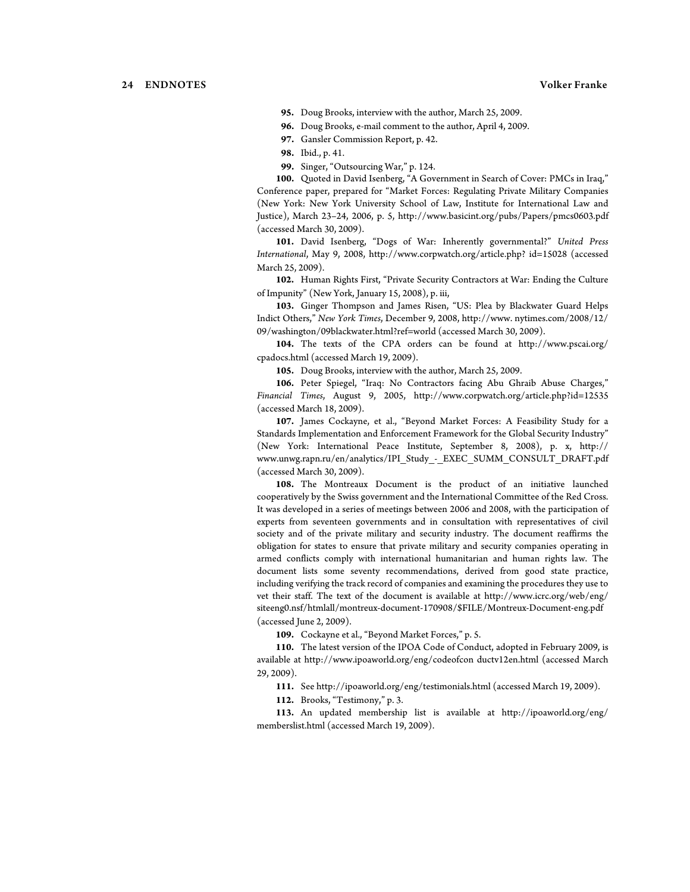**95.** Doug Brooks, interview with the author, March 25, 2009.

**96.** Doug Brooks, e-mail comment to the author, April 4, 2009.

**97.** Gansler Commission Report, p. 42.

**98.** Ibid., p. 41.

**99.** Singer, "Outsourcing War," p. 124.

**100.** Quoted in David Isenberg, "A Government in Search of Cover: PMCs in Iraq," Conference paper, prepared for "Market Forces: Regulating Private Military Companies (New York: New York University School of Law, Institute for International Law and Justice), March 23–24, 2006, p. 5, http://www.basicint.org/pubs/Papers/pmcs0603.pdf (accessed March 30, 2009).

**101.** David Isenberg, "Dogs of War: Inherently governmental?" *United Press International*, May 9, 2008, http://www.corpwatch.org/article.php? id=15028 (accessed March 25, 2009).

**102.** Human Rights First, "Private Security Contractors at War: Ending the Culture of Impunity" (New York, January 15, 2008), p. iii,

**103.** Ginger Thompson and James Risen, "US: Plea by Blackwater Guard Helps Indict Others," *New York Times*, December 9, 2008, http://www. nytimes.com/2008/12/ 09/washington/09blackwater.html?ref=world (accessed March 30, 2009).

**104.** The texts of the CPA orders can be found at http://www.pscai.org/ cpadocs.html (accessed March 19, 2009).

**105.** Doug Brooks, interview with the author, March 25, 2009.

**106.** Peter Spiegel, "Iraq: No Contractors facing Abu Ghraib Abuse Charges," *Financial Times*, August 9, 2005, http://www.corpwatch.org/article.php?id=12535 (accessed March 18, 2009).

**107.** James Cockayne, et al., "Beyond Market Forces: A Feasibility Study for a Standards Implementation and Enforcement Framework for the Global Security Industry" (New York: International Peace Institute, September 8, 2008), p. x, http:// www.unwg.rapn.ru/en/analytics/IPI\_Study\_-\_EXEC\_SUMM\_CONSULT\_DRAFT.pdf (accessed March 30, 2009).

**108.** The Montreaux Document is the product of an initiative launched cooperatively by the Swiss government and the International Committee of the Red Cross. It was developed in a series of meetings between 2006 and 2008, with the participation of experts from seventeen governments and in consultation with representatives of civil society and of the private military and security industry. The document reaffirms the obligation for states to ensure that private military and security companies operating in armed conflicts comply with international humanitarian and human rights law. The document lists some seventy recommendations, derived from good state practice, including verifying the track record of companies and examining the procedures they use to vet their staff. The text of the document is available at http://www.icrc.org/web/eng/ siteeng0.nsf/htmlall/montreux-document-170908/\$FILE/Montreux-Document-eng.pdf (accessed June 2, 2009).

**109.** Cockayne et al., "Beyond Market Forces," p. 5.

**110.** The latest version of the IPOA Code of Conduct, adopted in February 2009, is available at http://www.ipoaworld.org/eng/codeofcon ductv12en.html (accessed March 29, 2009).

**111.** See http://ipoaworld.org/eng/testimonials.html (accessed March 19, 2009).

**112.** Brooks, "Testimony," p. 3.

**113.** An updated membership list is available at http://ipoaworld.org/eng/ memberslist.html (accessed March 19, 2009).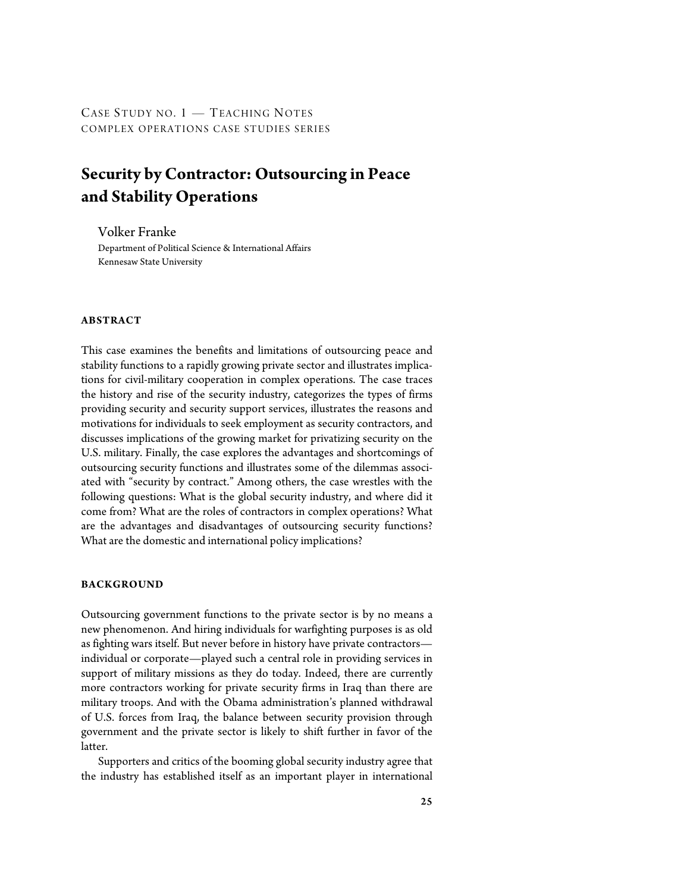CASE STUDY NO. 1 - TEACHING NOTES COMPLEX OPERATIONS CASE STUDIES SERIES

## **Security by Contractor: Outsourcing in Peace and Stability Operations**

Volker Franke Department of Political Science & International Affairs Kennesaw State University

#### **ABSTRACT**

This case examines the benefits and limitations of outsourcing peace and stability functions to a rapidly growing private sector and illustrates implications for civil-military cooperation in complex operations. The case traces the history and rise of the security industry, categorizes the types of firms providing security and security support services, illustrates the reasons and motivations for individuals to seek employment as security contractors, and discusses implications of the growing market for privatizing security on the U.S. military. Finally, the case explores the advantages and shortcomings of outsourcing security functions and illustrates some of the dilemmas associated with "security by contract." Among others, the case wrestles with the following questions: What is the global security industry, and where did it come from? What are the roles of contractors in complex operations? What are the advantages and disadvantages of outsourcing security functions? What are the domestic and international policy implications?

#### **BACKGROUND**

Outsourcing government functions to the private sector is by no means a new phenomenon. And hiring individuals for warfighting purposes is as old as fighting wars itself. But never before in history have private contractors individual or corporate—played such a central role in providing services in support of military missions as they do today. Indeed, there are currently more contractors working for private security firms in Iraq than there are military troops. And with the Obama administration's planned withdrawal of U.S. forces from Iraq, the balance between security provision through government and the private sector is likely to shift further in favor of the latter.

Supporters and critics of the booming global security industry agree that the industry has established itself as an important player in international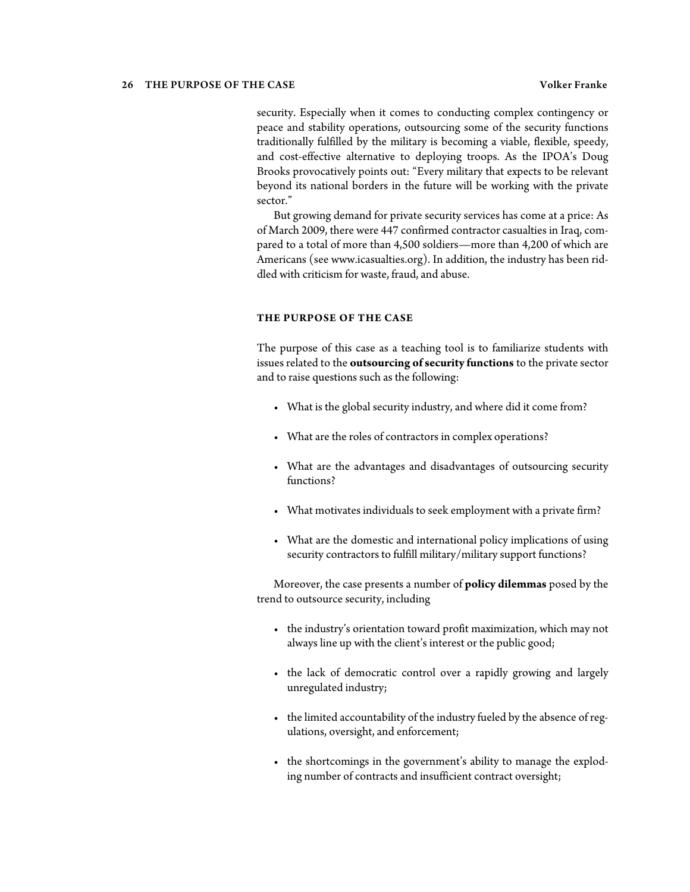#### 26 THE PURPOSE OF THE CASE Volker Franke

security. Especially when it comes to conducting complex contingency or peace and stability operations, outsourcing some of the security functions traditionally fulfilled by the military is becoming a viable, flexible, speedy, and cost-effective alternative to deploying troops. As the IPOA's Doug Brooks provocatively points out: "Every military that expects to be relevant beyond its national borders in the future will be working with the private sector."

But growing demand for private security services has come at a price: As of March 2009, there were 447 confirmed contractor casualties in Iraq, compared to a total of more than 4,500 soldiers—more than 4,200 of which are Americans (see www.icasualties.org). In addition, the industry has been riddled with criticism for waste, fraud, and abuse.

#### **THE PURPOSE OF THE CASE**

The purpose of this case as a teaching tool is to familiarize students with issues related to the **outsourcing of security functions** to the private sector and to raise questions such as the following:

- What is the global security industry, and where did it come from?
- What are the roles of contractors in complex operations?
- What are the advantages and disadvantages of outsourcing security functions?
- What motivates individuals to seek employment with a private firm?
- What are the domestic and international policy implications of using security contractors to fulfill military/military support functions?

Moreover, the case presents a number of **policy dilemmas** posed by the trend to outsource security, including

- the industry's orientation toward profit maximization, which may not always line up with the client's interest or the public good;
- the lack of democratic control over a rapidly growing and largely unregulated industry;
- the limited accountability of the industry fueled by the absence of regulations, oversight, and enforcement;
- the shortcomings in the government's ability to manage the exploding number of contracts and insufficient contract oversight;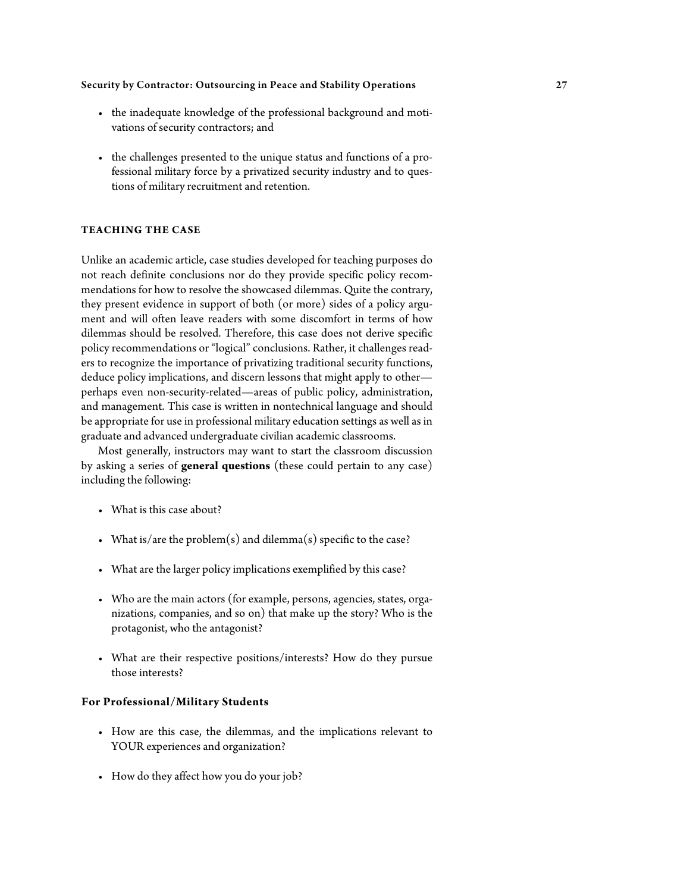- the inadequate knowledge of the professional background and motivations of security contractors; and
- the challenges presented to the unique status and functions of a professional military force by a privatized security industry and to questions of military recruitment and retention.

### **TEACHING THE CASE**

Unlike an academic article, case studies developed for teaching purposes do not reach definite conclusions nor do they provide specific policy recommendations for how to resolve the showcased dilemmas. Quite the contrary, they present evidence in support of both (or more) sides of a policy argument and will often leave readers with some discomfort in terms of how dilemmas should be resolved. Therefore, this case does not derive specific policy recommendations or "logical" conclusions. Rather, it challenges readers to recognize the importance of privatizing traditional security functions, deduce policy implications, and discern lessons that might apply to other perhaps even non-security-related—areas of public policy, administration, and management. This case is written in nontechnical language and should be appropriate for use in professional military education settings as well as in graduate and advanced undergraduate civilian academic classrooms.

Most generally, instructors may want to start the classroom discussion by asking a series of **general questions** (these could pertain to any case) including the following:

- What is this case about?
- What is/are the problem(s) and dilemma(s) specific to the case?
- What are the larger policy implications exemplified by this case?
- Who are the main actors (for example, persons, agencies, states, organizations, companies, and so on) that make up the story? Who is the protagonist, who the antagonist?
- What are their respective positions/interests? How do they pursue those interests?

#### **For Professional/Military Students**

- How are this case, the dilemmas, and the implications relevant to YOUR experiences and organization?
- How do they affect how you do your job?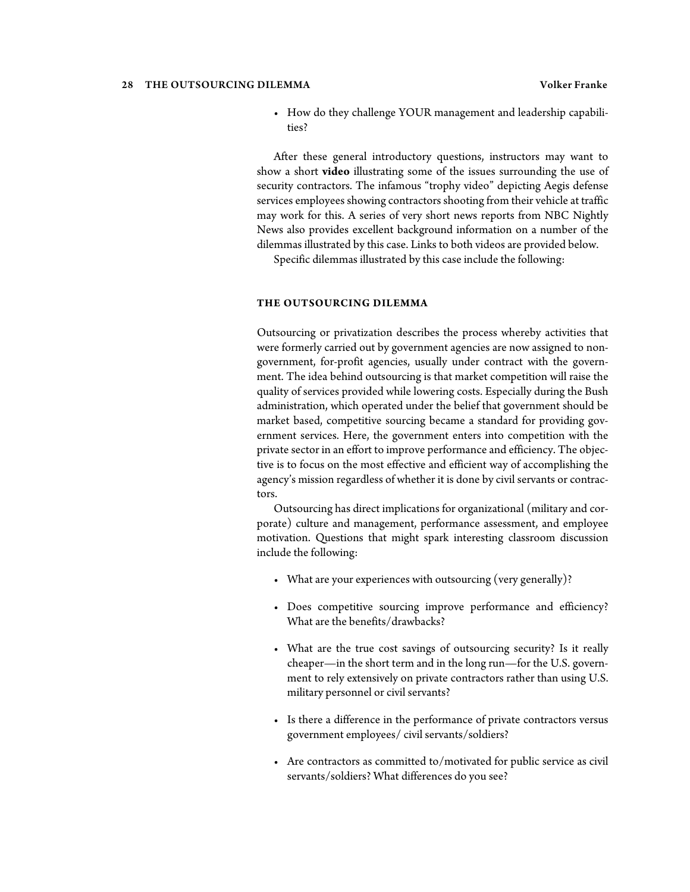#### 28 THE OUTSOURCING DILEMMA Volker Franke

• How do they challenge YOUR management and leadership capabilities?

After these general introductory questions, instructors may want to show a short **video** illustrating some of the issues surrounding the use of security contractors. The infamous "trophy video" depicting Aegis defense services employees showing contractors shooting from their vehicle at traffic may work for this. A series of very short news reports from NBC Nightly News also provides excellent background information on a number of the dilemmas illustrated by this case. Links to both videos are provided below.

Specific dilemmas illustrated by this case include the following:

#### **THE OUTSOURCING DILEMMA**

Outsourcing or privatization describes the process whereby activities that were formerly carried out by government agencies are now assigned to nongovernment, for-profit agencies, usually under contract with the government. The idea behind outsourcing is that market competition will raise the quality of services provided while lowering costs. Especially during the Bush administration, which operated under the belief that government should be market based, competitive sourcing became a standard for providing government services. Here, the government enters into competition with the private sector in an effort to improve performance and efficiency. The objective is to focus on the most effective and efficient way of accomplishing the agency's mission regardless of whether it is done by civil servants or contractors.

Outsourcing has direct implications for organizational (military and corporate) culture and management, performance assessment, and employee motivation. Questions that might spark interesting classroom discussion include the following:

- What are your experiences with outsourcing (very generally)?
- Does competitive sourcing improve performance and efficiency? What are the benefits/drawbacks?
- What are the true cost savings of outsourcing security? Is it really cheaper—in the short term and in the long run—for the U.S. government to rely extensively on private contractors rather than using U.S. military personnel or civil servants?
- Is there a difference in the performance of private contractors versus government employees/ civil servants/soldiers?
- Are contractors as committed to/motivated for public service as civil servants/soldiers? What differences do you see?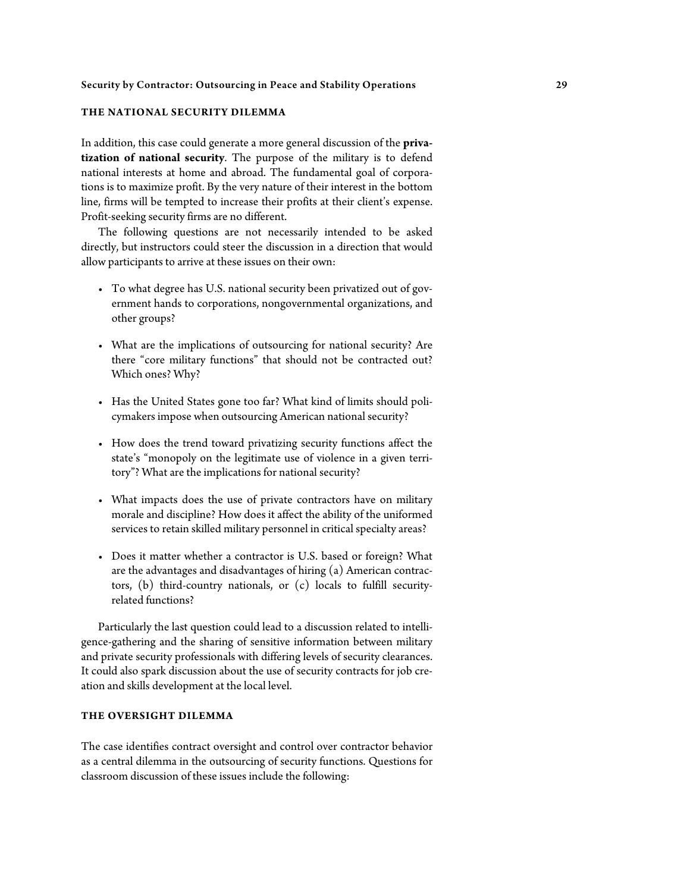#### **THE NATIONAL SECURITY DILEMMA**

In addition, this case could generate a more general discussion of the **privatization of national security**. The purpose of the military is to defend national interests at home and abroad. The fundamental goal of corporations is to maximize profit. By the very nature of their interest in the bottom line, firms will be tempted to increase their profits at their client's expense. Profit-seeking security firms are no different.

The following questions are not necessarily intended to be asked directly, but instructors could steer the discussion in a direction that would allow participants to arrive at these issues on their own:

- To what degree has U.S. national security been privatized out of government hands to corporations, nongovernmental organizations, and other groups?
- What are the implications of outsourcing for national security? Are there "core military functions" that should not be contracted out? Which ones? Why?
- Has the United States gone too far? What kind of limits should policymakers impose when outsourcing American national security?
- How does the trend toward privatizing security functions affect the state's "monopoly on the legitimate use of violence in a given territory"? What are the implications for national security?
- What impacts does the use of private contractors have on military morale and discipline? How does it affect the ability of the uniformed services to retain skilled military personnel in critical specialty areas?
- Does it matter whether a contractor is U.S. based or foreign? What are the advantages and disadvantages of hiring (a) American contractors, (b) third-country nationals, or (c) locals to fulfill securityrelated functions?

Particularly the last question could lead to a discussion related to intelligence-gathering and the sharing of sensitive information between military and private security professionals with differing levels of security clearances. It could also spark discussion about the use of security contracts for job creation and skills development at the local level.

### **THE OVERSIGHT DILEMMA**

The case identifies contract oversight and control over contractor behavior as a central dilemma in the outsourcing of security functions. Questions for classroom discussion of these issues include the following: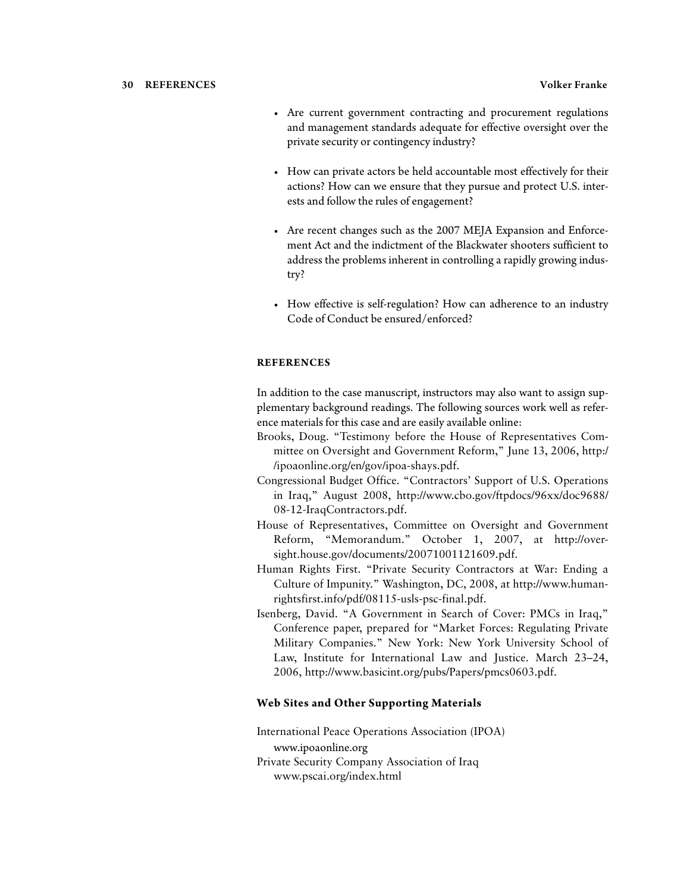- Are current government contracting and procurement regulations and management standards adequate for effective oversight over the private security or contingency industry?
- How can private actors be held accountable most effectively for their actions? How can we ensure that they pursue and protect U.S. interests and follow the rules of engagement?
- Are recent changes such as the 2007 MEJA Expansion and Enforcement Act and the indictment of the Blackwater shooters sufficient to address the problems inherent in controlling a rapidly growing industry?
- How effective is self-regulation? How can adherence to an industry Code of Conduct be ensured/enforced?

#### **REFERENCES**

In addition to the case manuscript, instructors may also want to assign supplementary background readings. The following sources work well as reference materials for this case and are easily available online:

- Brooks, Doug. "Testimony before the House of Representatives Committee on Oversight and Government Reform," June 13, 2006, http:/ /ipoaonline.org/en/gov/ipoa-shays.pdf.
- Congressional Budget Office. "Contractors' Support of U.S. Operations in Iraq," August 2008, http://www.cbo.gov/ftpdocs/96xx/doc9688/ 08-12-IraqContractors.pdf.
- House of Representatives, Committee on Oversight and Government Reform, "Memorandum." October 1, 2007, at http://oversight.house.gov/documents/20071001121609.pdf.
- Human Rights First. "Private Security Contractors at War: Ending a Culture of Impunity." Washington, DC, 2008, at http://www.humanrightsfirst.info/pdf/08115-usls-psc-final.pdf.
- Isenberg, David. "A Government in Search of Cover: PMCs in Iraq," Conference paper, prepared for "Market Forces: Regulating Private Military Companies." New York: New York University School of Law, Institute for International Law and Justice. March 23–24, 2006, http://www.basicint.org/pubs/Papers/pmcs0603.pdf.

#### **Web Sites and Other Supporting Materials**

International Peace Operations Association (IPOA) www.ipoaonline.org Private Security Company Association of Iraq www.pscai.org/index.html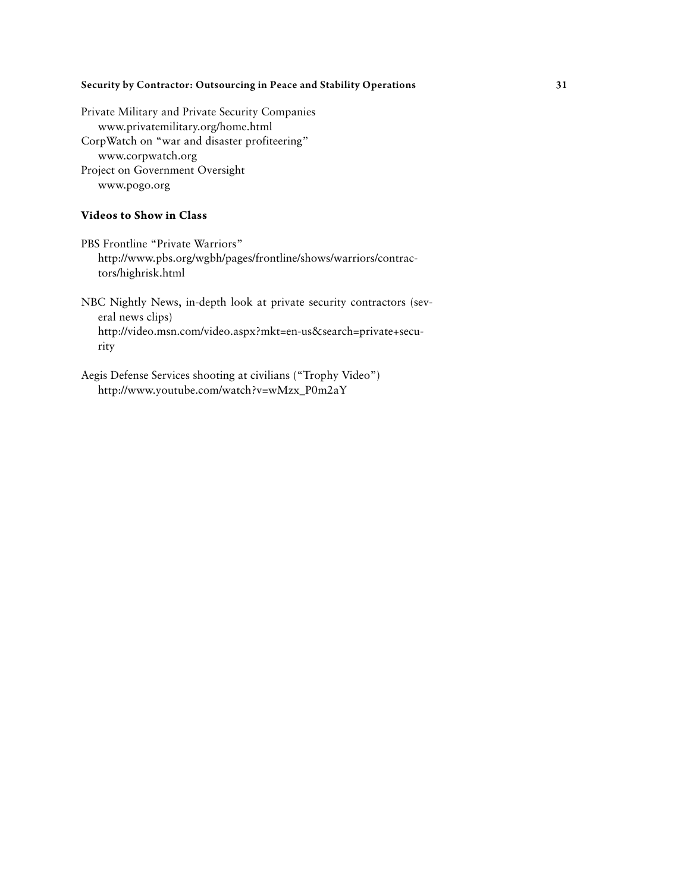Private Military and Private Security Companies www.privatemilitary.org/home.html CorpWatch on "war and disaster profiteering" www.corpwatch.org Project on Government Oversight www.pogo.org

#### **Videos to Show in Class**

PBS Frontline "Private Warriors" http://www.pbs.org/wgbh/pages/frontline/shows/warriors/contractors/highrisk.html

NBC Nightly News, in-depth look at private security contractors (several news clips) http://video.msn.com/video.aspx?mkt=en-us&search=private+security

Aegis Defense Services shooting at civilians ("Trophy Video") http://www.youtube.com/watch?v=wMzx\_P0m2aY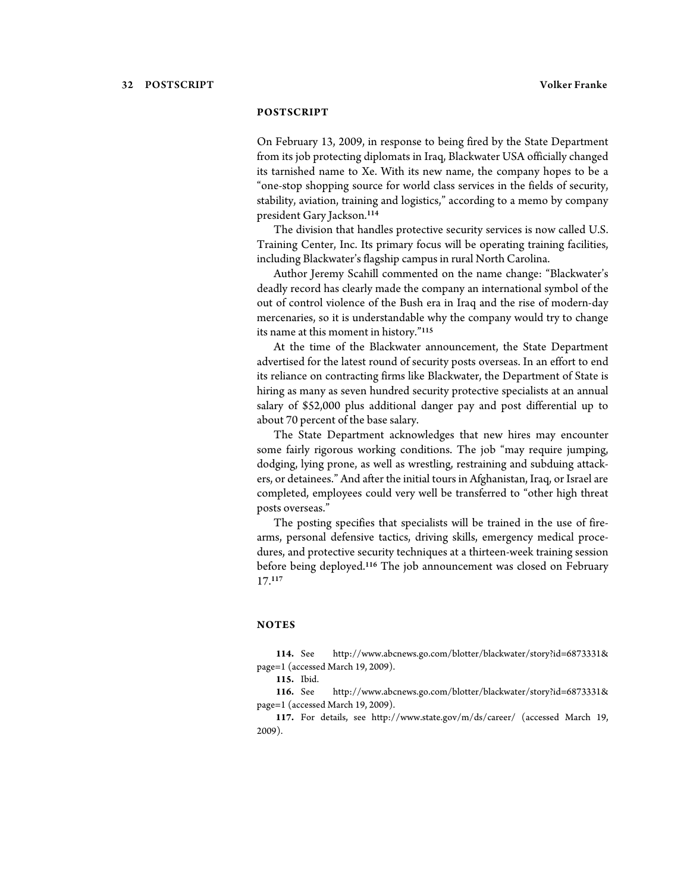#### **POSTSCRIPT**

On February 13, 2009, in response to being fired by the State Department from its job protecting diplomats in Iraq, Blackwater USA officially changed its tarnished name to Xe. With its new name, the company hopes to be a "one-stop shopping source for world class services in the fields of security, stability, aviation, training and logistics," according to a memo by company president Gary Jackson.<sup>114</sup>

The division that handles protective security services is now called U.S. Training Center, Inc. Its primary focus will be operating training facilities, including Blackwater's flagship campus in rural North Carolina.

Author Jeremy Scahill commented on the name change: "Blackwater's deadly record has clearly made the company an international symbol of the out of control violence of the Bush era in Iraq and the rise of modern-day mercenaries, so it is understandable why the company would try to change its name at this moment in history."<sup>115</sup>

At the time of the Blackwater announcement, the State Department advertised for the latest round of security posts overseas. In an effort to end its reliance on contracting firms like Blackwater, the Department of State is hiring as many as seven hundred security protective specialists at an annual salary of \$52,000 plus additional danger pay and post differential up to about 70 percent of the base salary.

The State Department acknowledges that new hires may encounter some fairly rigorous working conditions. The job "may require jumping, dodging, lying prone, as well as wrestling, restraining and subduing attackers, or detainees." And after the initial tours in Afghanistan, Iraq, or Israel are completed, employees could very well be transferred to "other high threat posts overseas."

The posting specifies that specialists will be trained in the use of firearms, personal defensive tactics, driving skills, emergency medical procedures, and protective security techniques at a thirteen-week training session before being deployed.<sup>116</sup> The job announcement was closed on February 17.<sup>117</sup>

#### **NOTES**

**114.** See http://www.abcnews.go.com/blotter/blackwater/story?id=6873331& page=1 (accessed March 19, 2009).

**116.** See http://www.abcnews.go.com/blotter/blackwater/story?id=6873331& page=1 (accessed March 19, 2009).

**117.** For details, see http://www.state.gov/m/ds/career/ (accessed March 19, 2009).

**<sup>115.</sup>** Ibid.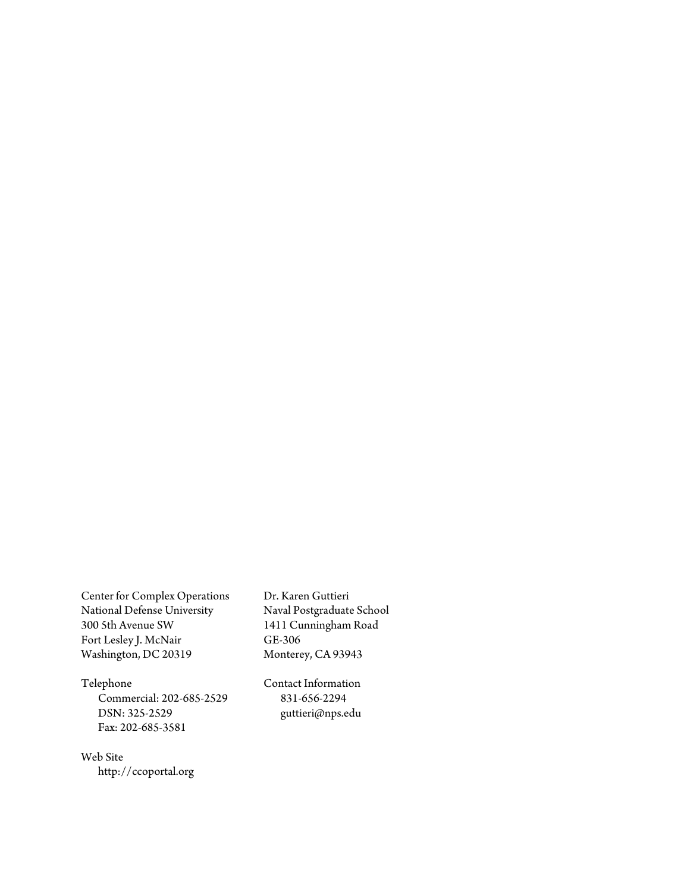Center for Complex Operations National Defense University 300 5th Avenue SW Fort Lesley J. McNair Washington, DC 20319

Dr. Karen Guttieri Naval Postgraduate School 1411 Cunningham Road GE-306 Monterey, CA 93943

Telephone

Commercial: 202-685-2529 DSN: 325-2529 Fax: 202-685-3581

Contact Information 831-656-2294 guttieri@nps.edu

Web Site http://ccoportal.org